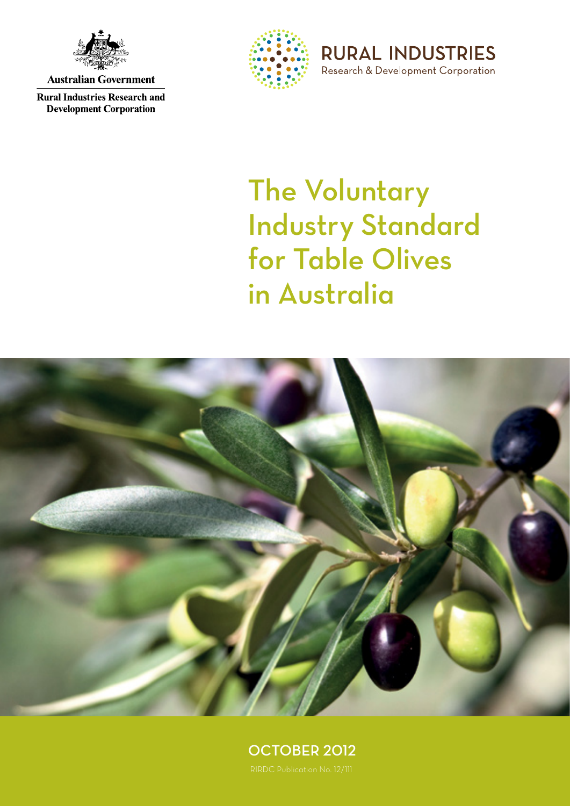

**Australian Government** 

**Rural Industries Research and Development Corporation** 



**RURAL INDUSTRIES** Research & Development Corporation

# The Voluntary Industry Standard for Table Olives in Australia



OCTOBER 2012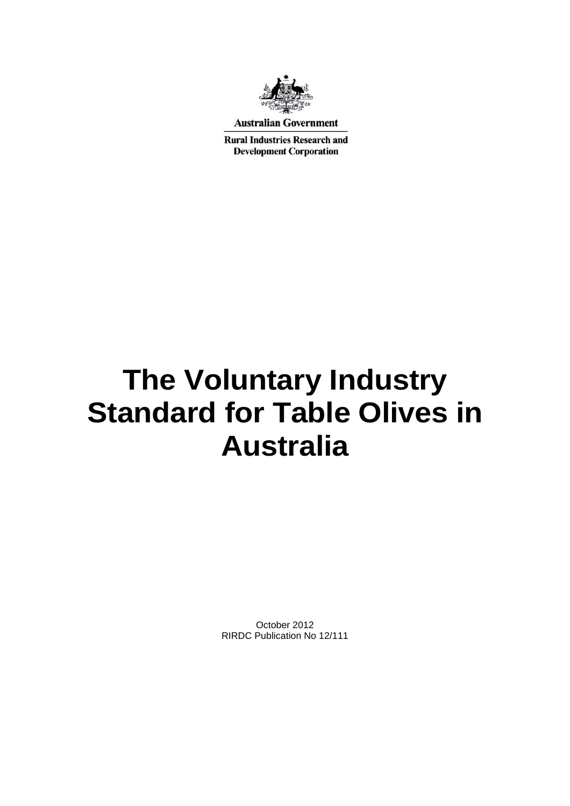

**Australian Government** 

**Rural Industries Research and Development Corporation** 

# **The Voluntary Industry Standard for Table Olives in Australia**

October 2012 RIRDC Publication No 12/111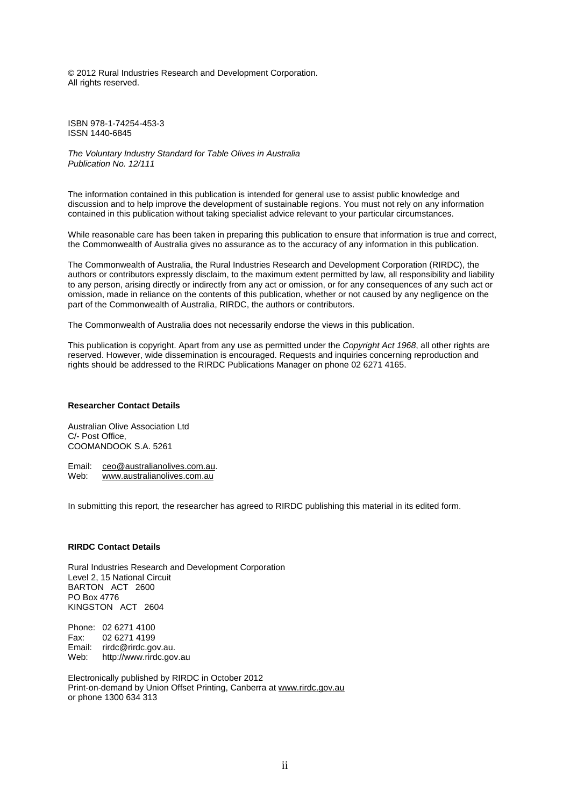© 2012 Rural Industries Research and Development Corporation. All rights reserved.

ISBN 978-1-74254-453-3 ISSN 1440-6845

*The Voluntary Industry Standard for Table Olives in Australia Publication No. 12/111*

The information contained in this publication is intended for general use to assist public knowledge and discussion and to help improve the development of sustainable regions. You must not rely on any information contained in this publication without taking specialist advice relevant to your particular circumstances.

While reasonable care has been taken in preparing this publication to ensure that information is true and correct, the Commonwealth of Australia gives no assurance as to the accuracy of any information in this publication.

The Commonwealth of Australia, the Rural Industries Research and Development Corporation (RIRDC), the authors or contributors expressly disclaim, to the maximum extent permitted by law, all responsibility and liability to any person, arising directly or indirectly from any act or omission, or for any consequences of any such act or omission, made in reliance on the contents of this publication, whether or not caused by any negligence on the part of the Commonwealth of Australia, RIRDC, the authors or contributors.

The Commonwealth of Australia does not necessarily endorse the views in this publication.

This publication is copyright. Apart from any use as permitted under the *Copyright Act 1968*, all other rights are reserved. However, wide dissemination is encouraged. Requests and inquiries concerning reproduction and rights should be addressed to the RIRDC Publications Manager on phone 02 6271 4165.

#### **Researcher Contact Details**

Australian Olive Association Ltd C/- Post Office, COOMANDOOK S.A. 5261

Email: [ceo@australianolives.com.au.](mailto:longridgeolives@bigpond.com)<br>Web: www.australianolives.com.au [www.australianolives.com.au](http://www.australianolives.com.au/)

In submitting this report, the researcher has agreed to RIRDC publishing this material in its edited form.

#### **RIRDC Contact Details**

Rural Industries Research and Development Corporation Level 2, 15 National Circuit BARTON ACT 2600 PO Box 4776 KINGSTON ACT 2604

Phone: 02 6271 4100 Fax: 02 6271 4199 Email: rirdc@rirdc.gov.au. Web: http://www.rirdc.gov.au

Electronically published by RIRDC in October 2012 Print-on-demand by Union Offset Printing, Canberra at www.rirdc.gov.au or phone 1300 634 313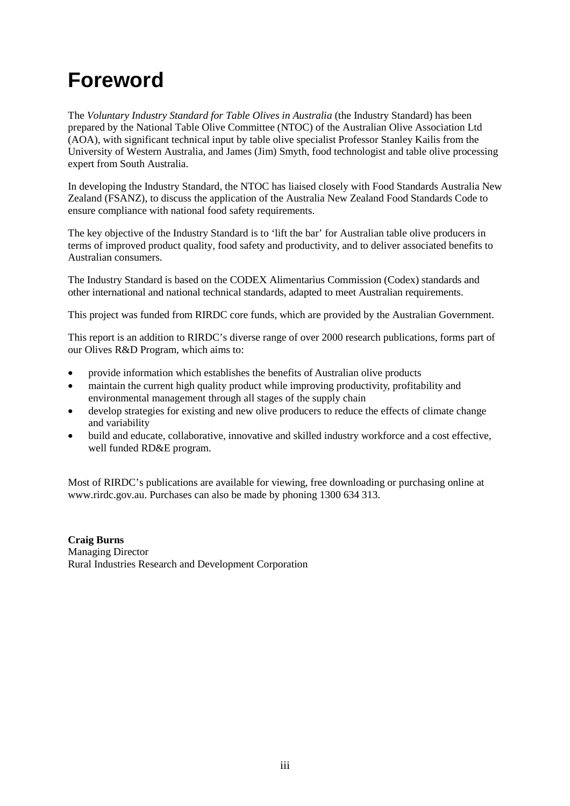## <span id="page-4-0"></span>**Foreword**

The *Voluntary Industry Standard for Table Olives in Australia* (the Industry Standard) has been prepared by the National Table Olive Committee (NTOC) of the Australian Olive Association Ltd (AOA), with significant technical input by table olive specialist Professor Stanley Kailis from the University of Western Australia, and James (Jim) Smyth, food technologist and table olive processing expert from South Australia.

In developing the Industry Standard, the NTOC has liaised closely with Food Standards Australia New Zealand (FSANZ), to discuss the application of the Australia New Zealand Food Standards Code to ensure compliance with national food safety requirements.

The key objective of the Industry Standard is to 'lift the bar' for Australian table olive producers in terms of improved product quality, food safety and productivity, and to deliver associated benefits to Australian consumers.

The Industry Standard is based on the CODEX Alimentarius Commission (Codex) standards and other international and national technical standards, adapted to meet Australian requirements.

This project was funded from RIRDC core funds, which are provided by the Australian Government.

This report is an addition to RIRDC's diverse range of over 2000 research publications, forms part of our Olives R&D Program, which aims to:

- provide information which establishes the benefits of Australian olive products
- maintain the current high quality product while improving productivity, profitability and environmental management through all stages of the supply chain
- develop strategies for existing and new olive producers to reduce the effects of climate change and variability
- build and educate, collaborative, innovative and skilled industry workforce and a cost effective, well funded RD&E program.

Most of RIRDC's publications are available for viewing, free downloading or purchasing online at [www.rirdc.gov.au.](http://www.rirdc.gov.au/) Purchases can also be made by phoning 1300 634 313.

**Craig Burns** Managing Director Rural Industries Research and Development Corporation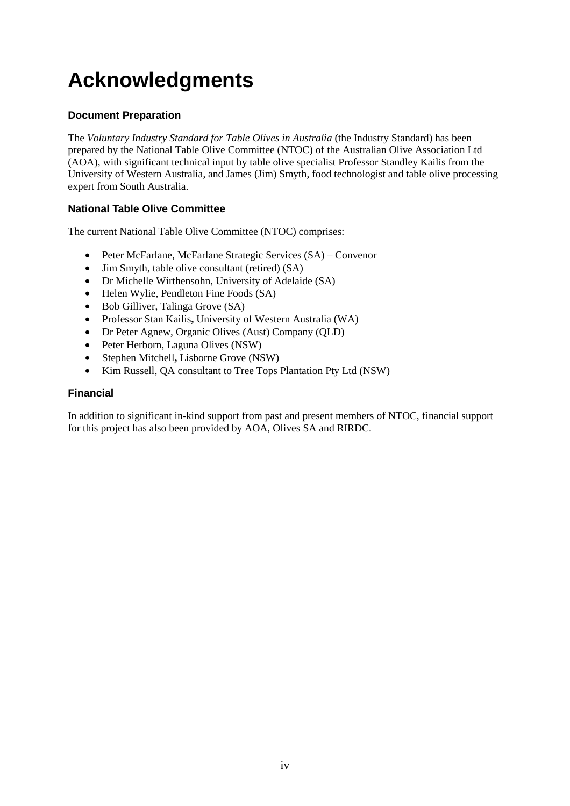## <span id="page-5-0"></span>**Acknowledgments**

#### **Document Preparation**

The *Voluntary Industry Standard for Table Olives in Australia* (the Industry Standard) has been prepared by the National Table Olive Committee (NTOC) of the Australian Olive Association Ltd (AOA), with significant technical input by table olive specialist Professor Standley Kailis from the University of Western Australia, and James (Jim) Smyth, food technologist and table olive processing expert from South Australia.

#### **National Table Olive Committee**

The current National Table Olive Committee (NTOC) comprises:

- Peter McFarlane, McFarlane Strategic Services (SA) Convenor
- Jim Smyth, table olive consultant (retired) (SA)
- Dr Michelle Wirthensohn, University of Adelaide (SA)
- Helen Wylie, Pendleton Fine Foods (SA)
- Bob Gilliver, Talinga Grove (SA)
- Professor Stan Kailis**,** University of Western Australia (WA)
- Dr Peter Agnew, Organic Olives (Aust) Company (QLD)
- Peter Herborn, Laguna Olives (NSW)
- Stephen Mitchell**,** Lisborne Grove (NSW)
- Kim Russell, QA consultant to Tree Tops Plantation Pty Ltd (NSW)

#### **Financial**

In addition to significant in-kind support from past and present members of NTOC, financial support for this project has also been provided by AOA, Olives SA and RIRDC.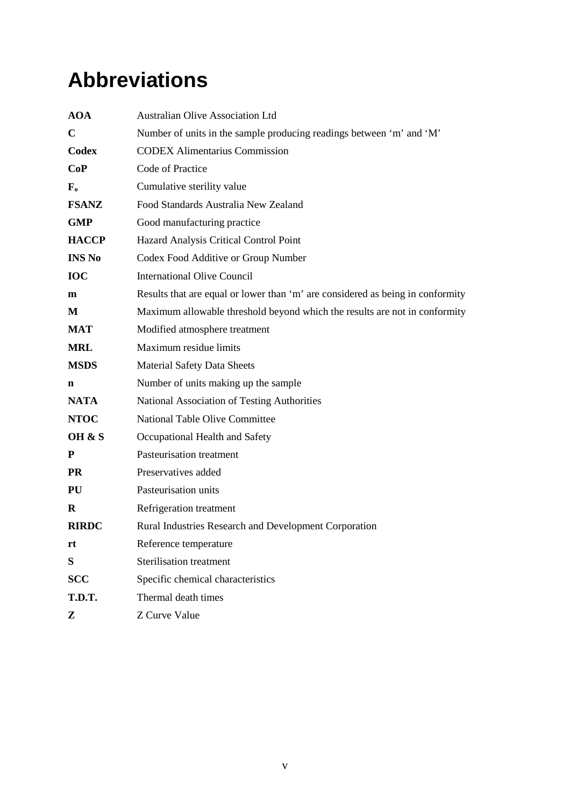## <span id="page-6-0"></span>**Abbreviations**

| <b>AOA</b>    | <b>Australian Olive Association Ltd</b>                                        |
|---------------|--------------------------------------------------------------------------------|
| $\mathbf C$   | Number of units in the sample producing readings between 'm' and 'M'           |
| Codex         | <b>CODEX Alimentarius Commission</b>                                           |
| CoP           | Code of Practice                                                               |
| ${\bf F_o}$   | Cumulative sterility value                                                     |
| <b>FSANZ</b>  | Food Standards Australia New Zealand                                           |
| <b>GMP</b>    | Good manufacturing practice                                                    |
| <b>HACCP</b>  | Hazard Analysis Critical Control Point                                         |
| <b>INS No</b> | Codex Food Additive or Group Number                                            |
| IOC           | <b>International Olive Council</b>                                             |
| m             | Results that are equal or lower than 'm' are considered as being in conformity |
| M             | Maximum allowable threshold beyond which the results are not in conformity     |
| <b>MAT</b>    | Modified atmosphere treatment                                                  |
| <b>MRL</b>    | Maximum residue limits                                                         |
| <b>MSDS</b>   | <b>Material Safety Data Sheets</b>                                             |
| n             | Number of units making up the sample                                           |
| <b>NATA</b>   | National Association of Testing Authorities                                    |
| <b>NTOC</b>   | National Table Olive Committee                                                 |
| OH & S        | Occupational Health and Safety                                                 |
| P             | Pasteurisation treatment                                                       |
| <b>PR</b>     | Preservatives added                                                            |
| <b>PU</b>     | Pasteurisation units                                                           |
| R             | Refrigeration treatment                                                        |
| <b>RIRDC</b>  | Rural Industries Research and Development Corporation                          |
| rt            | Reference temperature                                                          |
| S             | <b>Sterilisation treatment</b>                                                 |
| <b>SCC</b>    | Specific chemical characteristics                                              |
| T.D.T.        | Thermal death times                                                            |
| Z             | Z Curve Value                                                                  |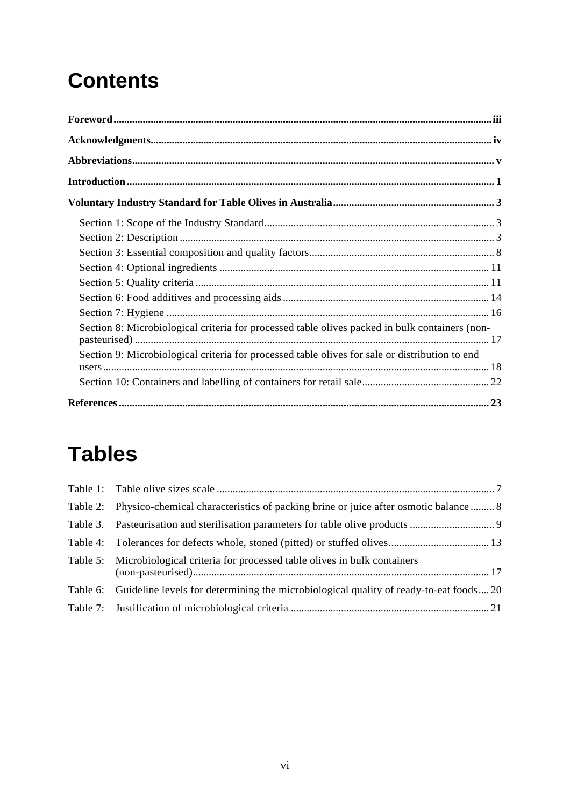## **Contents**

| Section 8: Microbiological criteria for processed table olives packed in bulk containers (non- |  |
|------------------------------------------------------------------------------------------------|--|
| Section 9: Microbiological criteria for processed table olives for sale or distribution to end |  |
|                                                                                                |  |
|                                                                                                |  |

## **Tables**

| Table 2: Physico-chemical characteristics of packing brine or juice after osmotic balance  8   |  |
|------------------------------------------------------------------------------------------------|--|
|                                                                                                |  |
|                                                                                                |  |
| Table 5: Microbiological criteria for processed table olives in bulk containers                |  |
| Table 6: Guideline levels for determining the microbiological quality of ready-to-eat foods 20 |  |
|                                                                                                |  |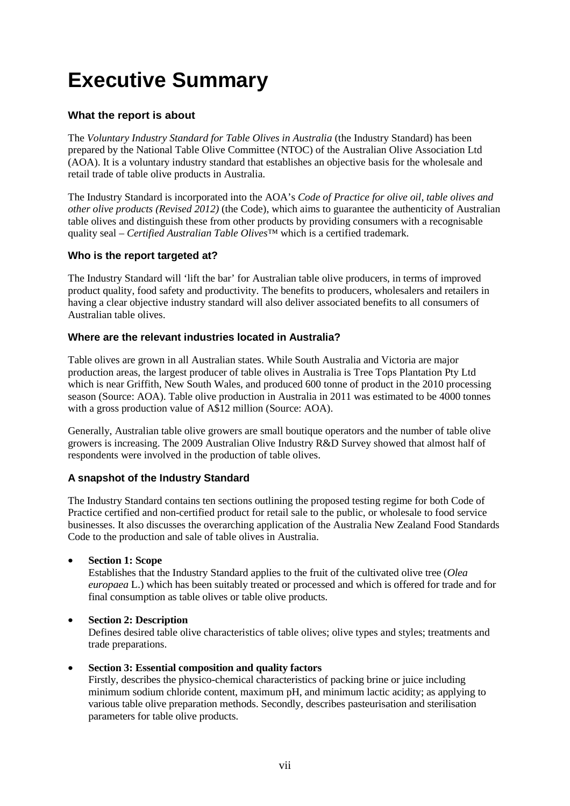## **Executive Summary**

#### **What the report is about**

The *Voluntary Industry Standard for Table Olives in Australia* (the Industry Standard) has been prepared by the National Table Olive Committee (NTOC) of the Australian Olive Association Ltd (AOA). It is a voluntary industry standard that establishes an objective basis for the wholesale and retail trade of table olive products in Australia.

The Industry Standard is incorporated into the AOA's *Code of Practice for olive oil, table olives and other olive products (Revised 2012)* (the Code), which aims to guarantee the authenticity of Australian table olives and distinguish these from other products by providing consumers with a recognisable quality seal – *Certified Australian Table Olives™* which is a certified trademark.

#### **Who is the report targeted at?**

The Industry Standard will 'lift the bar' for Australian table olive producers, in terms of improved product quality, food safety and productivity. The benefits to producers, wholesalers and retailers in having a clear objective industry standard will also deliver associated benefits to all consumers of Australian table olives.

#### **Where are the relevant industries located in Australia?**

Table olives are grown in all Australian states. While South Australia and Victoria are major production areas, the largest producer of table olives in Australia is Tree Tops Plantation Pty Ltd which is near Griffith, New South Wales, and produced 600 tonne of product in the 2010 processing season (Source: AOA). Table olive production in Australia in 2011 was estimated to be 4000 tonnes with a gross production value of A\$12 million (Source: AOA).

Generally, Australian table olive growers are small boutique operators and the number of table olive growers is increasing. The 2009 Australian Olive Industry R&D Survey showed that almost half of respondents were involved in the production of table olives.

#### **A snapshot of the Industry Standard**

The Industry Standard contains ten sections outlining the proposed testing regime for both Code of Practice certified and non-certified product for retail sale to the public, or wholesale to food service businesses. It also discusses the overarching application of the Australia New Zealand Food Standards Code to the production and sale of table olives in Australia.

#### • **Section 1: Scope**

Establishes that the Industry Standard applies to the fruit of the cultivated olive tree (*Olea europaea* L.) which has been suitably treated or processed and which is offered for trade and for final consumption as table olives or table olive products.

#### • **Section 2: Description**

Defines desired table olive characteristics of table olives; olive types and styles; treatments and trade preparations.

#### • **Section 3: Essential composition and quality factors**

Firstly, describes the physico-chemical characteristics of packing brine or juice including minimum sodium chloride content, maximum pH, and minimum lactic acidity; as applying to various table olive preparation methods. Secondly, describes pasteurisation and sterilisation parameters for table olive products.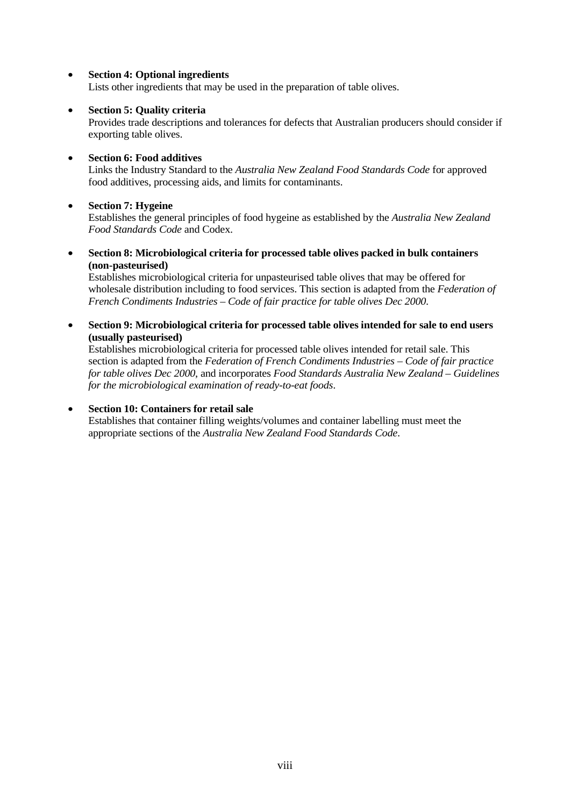#### • **Section 4: Optional ingredients**

Lists other ingredients that may be used in the preparation of table olives.

#### • **Section 5: Quality criteria**

Provides trade descriptions and tolerances for defects that Australian producers should consider if exporting table olives.

#### • **Section 6: Food additives**

Links the Industry Standard to the *Australia New Zealand Food Standards Code* for approved food additives, processing aids, and limits for contaminants.

#### • **Section 7: Hygeine**

Establishes the general principles of food hygeine as established by the *Australia New Zealand Food Standards Code* and Codex.

• **Section 8: Microbiological criteria for processed table olives packed in bulk containers (non-pasteurised)**

Establishes microbiological criteria for unpasteurised table olives that may be offered for wholesale distribution including to food services. This section is adapted from the *Federation of French Condiments Industries – Code of fair practice for table olives Dec 2000*.

• **Section 9: Microbiological criteria for processed table olives intended for sale to end users (usually pasteurised)**

Establishes microbiological criteria for processed table olives intended for retail sale. This section is adapted from the *Federation of French Condiments Industries – Code of fair practice for table olives Dec 2000*, and incorporates *Food Standards Australia New Zealand – Guidelines for the microbiological examination of ready-to-eat foods*.

#### • **Section 10: Containers for retail sale**

Establishes that container filling weights/volumes and container labelling must meet the appropriate sections of the *Australia New Zealand Food Standards Code*.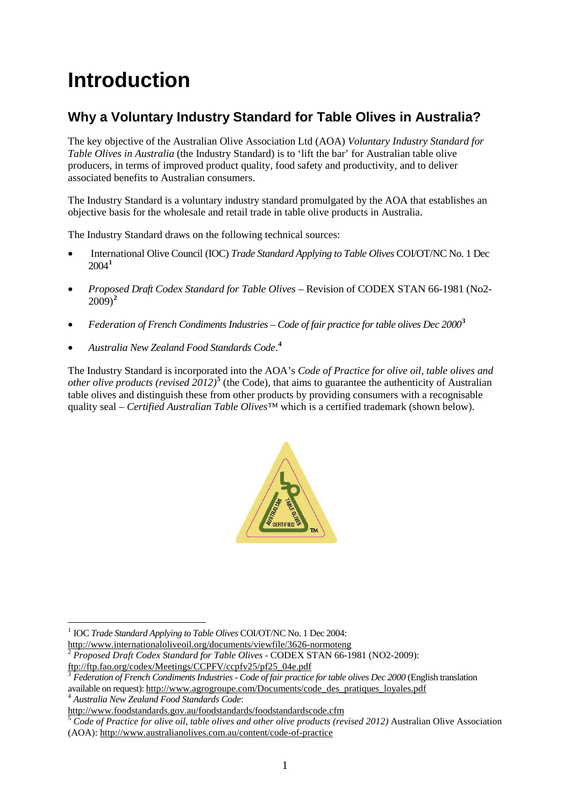## <span id="page-10-0"></span>**Introduction**

### **Why a Voluntary Industry Standard for Table Olives in Australia?**

The key objective of the Australian Olive Association Ltd (AOA) *Voluntary Industry Standard for Table Olives in Australia* (the Industry Standard) is to 'lift the bar' for Australian table olive producers, in terms of improved product quality, food safety and productivity, and to deliver associated benefits to Australian consumers.

The Industry Standard is a voluntary industry standard promulgated by the AOA that establishes an objective basis for the wholesale and retail trade in table olive products in Australia.

The Industry Standard draws on the following technical sources:

- International Olive Council (IOC) *Trade Standard Applying to Table Olives* COI/OT/NC No. 1 Dec 2004**[1](#page-10-1)**
- *Proposed Draft Codex Standard for Table Olives* Revision of CODEX STAN 66-1981 (No2- 2009) **[2](#page-10-2)**
- *Federation of French Condiments Industries Code of fair practice for table olives Dec 2000***[3](#page-10-3)**
- *Australia New Zealand Food Standards Code*. **[4](#page-10-4)**

The Industry Standard is incorporated into the AOA's *Code of Practice for olive oil, table olives and other olive products (revised 2012)*<sup>[5](#page-10-5)</sup> (the Code), that aims to guarantee the authenticity of Australian table olives and distinguish these from other products by providing consumers with a recognisable quality seal – *Certified Australian Table Olives™* which is a certified trademark (shown below).



<span id="page-10-1"></span><sup>1</sup> IOC *Trade Standard Applying to Table Olives* COI/OT/NC No. 1 Dec 2004:<br>http://www.internationaloliveoil.org/documents/viewfile/3626-normoteng

<span id="page-10-4"></span>

 $\overline{a}$ 

<span id="page-10-2"></span><sup>&</sup>lt;sup>2</sup> Proposed Draft Codex Standard for Table Olives - CODEX STAN 66-1981 (NO2-2009):<br>ftp://ftp.fao.org/codex/Meetings/CCPFV/ccpfv25/pf25 04e.pdf

<span id="page-10-3"></span>Federation of French Condiments Industries - Code of fair practice for table olives Dec 2000 (English translation available on request)[: http://www.agrogroupe.com/Documents/code\\_des\\_pratiques\\_loyales.pdf](http://www.agrogroupe.com/Documents/code_des_pratiques_loyales.pdf)<br>
<sup>4</sup> *Australia New Zealand Food Standards Code*:<br>
http://www.foodstandards.gov.au/foodstandards/foodstandardscode.cfm

<span id="page-10-5"></span>Code of Practice for olive oil, table olives and other olive products (revised 2012) Australian Olive Association (AOA):<http://www.australianolives.com.au/content/code-of-practice>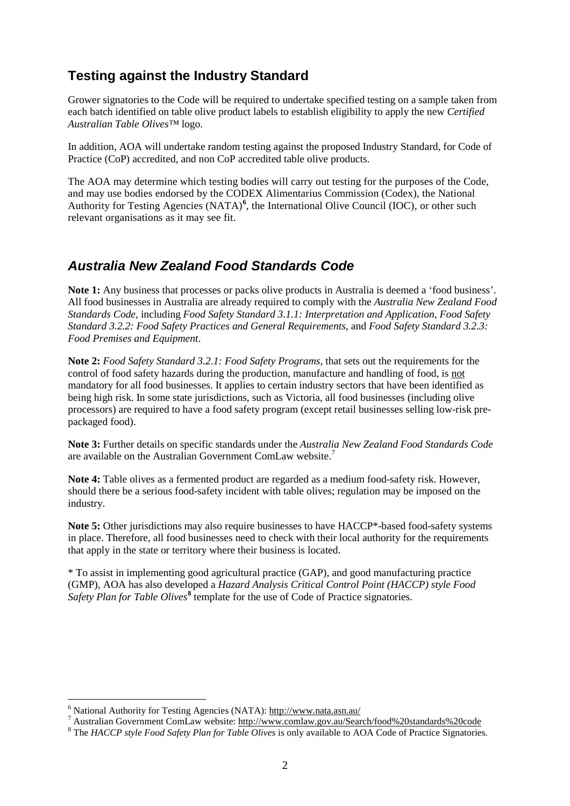### **Testing against the Industry Standard**

Grower signatories to the Code will be required to undertake specified testing on a sample taken from each batch identified on table olive product labels to establish eligibility to apply the new *Certified Australian Table Olives™* logo.

In addition, AOA will undertake random testing against the proposed Industry Standard, for Code of Practice (CoP) accredited, and non CoP accredited table olive products.

The AOA may determine which testing bodies will carry out testing for the purposes of the Code, and may use bodies endorsed by the CODEX Alimentarius Commission (Codex), the National Authority for Testing Agencies (NATA)<sup>[6](#page-11-0)</sup>, the International Olive Council (IOC), or other such relevant organisations as it may see fit.

### *Australia New Zealand Food Standards Code*

**Note 1:** Any business that processes or packs olive products in Australia is deemed a 'food business'. All food businesses in Australia are already required to comply with the *Australia New Zealand Food Standards Code*, including *Food Safety Standard 3.1.1: Interpretation and Application*, *Food Safety Standard 3.2.2: Food Safety Practices and General Requirements*, and *Food Safety Standard 3.2.3: Food Premises and Equipment*.

**Note 2:** *Food Safety Standard 3.2.1: Food Safety Programs*, that sets out the requirements for the control of food safety hazards during the production, manufacture and handling of food, is not mandatory for all food businesses. It applies to certain industry sectors that have been identified as being high risk. In some state jurisdictions, such as Victoria, all food businesses (including olive processors) are required to have a food safety program (except retail businesses selling low-risk prepackaged food).

**Note 3:** Further details on specific standards under the *Australia New Zealand Food Standards Code* are available on the Australian Government ComLaw website.<sup>[7](#page-11-1)</sup>

**Note 4:** Table olives as a fermented product are regarded as a medium food-safety risk. However, should there be a serious food-safety incident with table olives; regulation may be imposed on the industry.

**Note 5:** Other jurisdictions may also require businesses to have HACCP\*-based food-safety systems in place. Therefore, all food businesses need to check with their local authority for the requirements that apply in the state or territory where their business is located.

\* To assist in implementing good agricultural practice (GAP), and good manufacturing practice (GMP), AOA has also developed a *Hazard Analysis Critical Control Point (HACCP) style Food Safety Plan for Table Olives***[8](#page-11-2)** template for the use of Code of Practice signatories.

<span id="page-11-0"></span> $6$  National Authority for Testing Agencies (NATA): http://www.nata.asn.au/

<span id="page-11-1"></span> $^7$  Australian Government ComLaw website:<http://www.comlaw.gov.au/Search/food%20standards%20code> $^8$  The HACCP style Food Safety Plan for Table Olives is only available to AOA Code of Practice Signatories.

<span id="page-11-2"></span>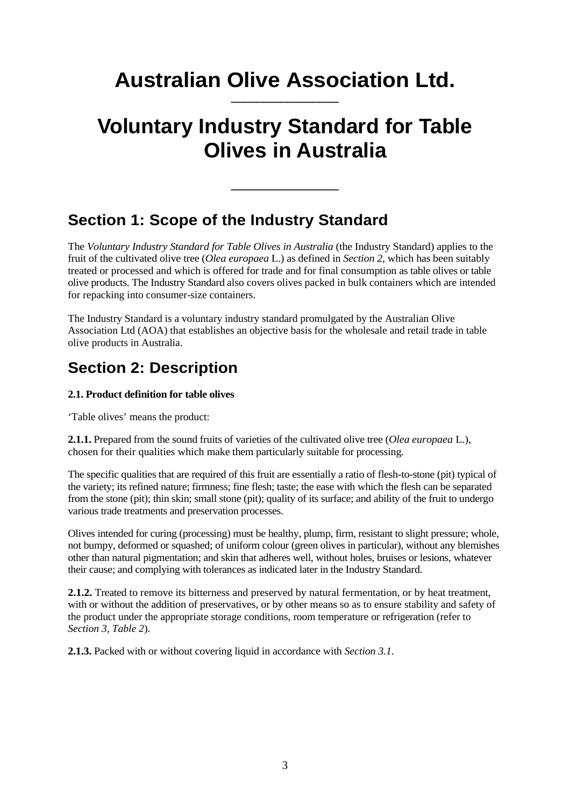## **Australian Olive Association Ltd.**

## <span id="page-12-0"></span>**Voluntary Industry Standard for Table Olives in Australia**

**\_\_\_\_\_\_\_\_\_\_\_\_\_\_\_\_\_**

### <span id="page-12-1"></span>**Section 1: Scope of the Industry Standard**

The *Voluntary Industry Standard for Table Olives in Australia* (the Industry Standard) applies to the fruit of the cultivated olive tree (*Olea europaea* L.) as defined in *Section 2*, which has been suitably treated or processed and which is offered for trade and for final consumption as table olives or table olive products. The Industry Standard also covers olives packed in bulk containers which are intended for repacking into consumer-size containers.

The Industry Standard is a voluntary industry standard promulgated by the Australian Olive Association Ltd (AOA) that establishes an objective basis for the wholesale and retail trade in table olive products in Australia.

## <span id="page-12-2"></span>**Section 2: Description**

#### **2.1. Product definition for table olives**

'Table olives' means the product:

**2.1.1.** Prepared from the sound fruits of varieties of the cultivated olive tree (*Olea europaea* L.), chosen for their qualities which make them particularly suitable for processing.

The specific qualities that are required of this fruit are essentially a ratio of flesh-to-stone (pit) typical of the variety; its refined nature; firmness; fine flesh; taste; the ease with which the flesh can be separated from the stone (pit); thin skin; small stone (pit); quality of its surface; and ability of the fruit to undergo various trade treatments and preservation processes.

Olives intended for curing (processing) must be healthy, plump, firm, resistant to slight pressure; whole, not bumpy, deformed or squashed; of uniform colour (green olives in particular), without any blemishes other than natural pigmentation; and skin that adheres well, without holes, bruises or lesions, whatever their cause; and complying with tolerances as indicated later in the Industry Standard.

**2.1.2.** Treated to remove its bitterness and preserved by natural fermentation, or by heat treatment, with or without the addition of preservatives, or by other means so as to ensure stability and safety of the product under the appropriate storage conditions, room temperature or refrigeration (refer to *Section 3, Table 2*).

**2.1.3.** Packed with or without covering liquid in accordance with *Section 3.1.*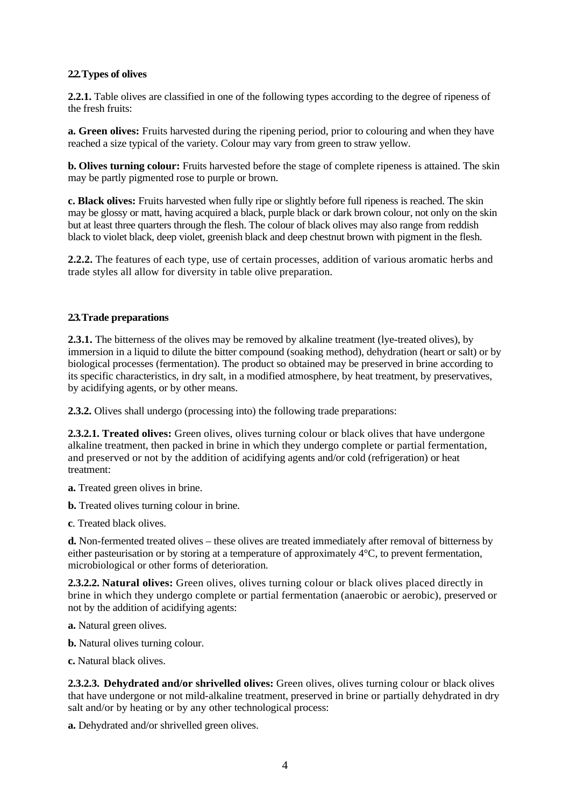#### **2.2. Types of olives**

**2.2.1.** Table olives are classified in one of the following types according to the degree of ripeness of the fresh fruits:

**a. Green olives:** Fruits harvested during the ripening period, prior to colouring and when they have reached a size typical of the variety. Colour may vary from green to straw yellow.

**b. Olives turning colour:** Fruits harvested before the stage of complete ripeness is attained. The skin may be partly pigmented rose to purple or brown.

**c. Black olives:** Fruits harvested when fully ripe or slightly before full ripeness is reached. The skin may be glossy or matt, having acquired a black, purple black or dark brown colour, not only on the skin but at least three quarters through the flesh. The colour of black olives may also range from reddish black to violet black, deep violet, greenish black and deep chestnut brown with pigment in the flesh.

**2.2.2.** The features of each type, use of certain processes, addition of various aromatic herbs and trade styles all allow for diversity in table olive preparation.

#### **2.3. Trade preparations**

**2.3.1.** The bitterness of the olives may be removed by alkaline treatment (lye-treated olives), by immersion in a liquid to dilute the bitter compound (soaking method), dehydration (heart or salt) or by biological processes (fermentation). The product so obtained may be preserved in brine according to its specific characteristics, in dry salt, in a modified atmosphere, by heat treatment, by preservatives, by acidifying agents, or by other means.

**2.3.2.** Olives shall undergo (processing into) the following trade preparations:

**2.3.2.1. Treated olives:** Green olives, olives turning colour or black olives that have undergone alkaline treatment, then packed in brine in which they undergo complete or partial fermentation, and preserved or not by the addition of acidifying agents and/or cold (refrigeration) or heat treatment:

**a.** Treated green olives in brine.

**b.** Treated olives turning colour in brine.

**c**. Treated black olives.

**d.** Non-fermented treated olives – these olives are treated immediately after removal of bitterness by either pasteurisation or by storing at a temperature of approximately 4°C, to prevent fermentation, microbiological or other forms of deterioration.

**2.3.2.2. Natural olives:** Green olives, olives turning colour or black olives placed directly in brine in which they undergo complete or partial fermentation (anaerobic or aerobic), preserved or not by the addition of acidifying agents:

**a.** Natural green olives.

**b.** Natural olives turning colour.

**c.** Natural black olives.

**2.3.2.3. Dehydrated and/or shrivelled olives:** Green olives, olives turning colour or black olives that have undergone or not mild-alkaline treatment, preserved in brine or partially dehydrated in dry salt and/or by heating or by any other technological process:

**a.** Dehydrated and/or shrivelled green olives.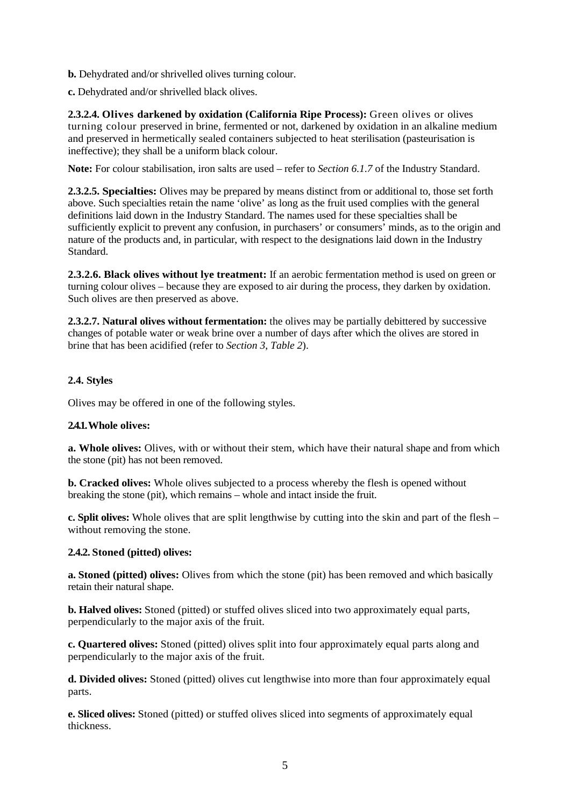**b.** Dehydrated and/or shrivelled olives turning colour.

**c.** Dehydrated and/or shrivelled black olives.

**2.3.2.4. Olives darkened by oxidation (California Ripe Process):** Green olives or olives turning colour preserved in brine, fermented or not, darkened by oxidation in an alkaline medium and preserved in hermetically sealed containers subjected to heat sterilisation (pasteurisation is ineffective); they shall be a uniform black colour.

**Note:** For colour stabilisation, iron salts are used – refer to *Section 6.1.7* of the Industry Standard.

**2.3.2.5. Specialties:** Olives may be prepared by means distinct from or additional to, those set forth above. Such specialties retain the name 'olive' as long as the fruit used complies with the general definitions laid down in the Industry Standard. The names used for these specialties shall be sufficiently explicit to prevent any confusion, in purchasers' or consumers' minds, as to the origin and nature of the products and, in particular, with respect to the designations laid down in the Industry Standard.

**2.3.2.6. Black olives without lye treatment:** If an aerobic fermentation method is used on green or turning colour olives – because they are exposed to air during the process, they darken by oxidation. Such olives are then preserved as above.

**2.3.2.7. Natural olives without fermentation:** the olives may be partially debittered by successive changes of potable water or weak brine over a number of days after which the olives are stored in brine that has been acidified (refer to *Section 3*, *Table 2*).

#### **2.4. Styles**

Olives may be offered in one of the following styles.

#### **2.4.1.Whole olives:**

**a. Whole olives:** Olives, with or without their stem, which have their natural shape and from which the stone (pit) has not been removed.

**b. Cracked olives:** Whole olives subjected to a process whereby the flesh is opened without breaking the stone (pit), which remains – whole and intact inside the fruit.

**c. Split olives:** Whole olives that are split lengthwise by cutting into the skin and part of the flesh – without removing the stone.

#### **2.4.2. Stoned (pitted) olives:**

**a. Stoned (pitted) olives:** Olives from which the stone (pit) has been removed and which basically retain their natural shape.

**b. Halved olives:** Stoned (pitted) or stuffed olives sliced into two approximately equal parts, perpendicularly to the major axis of the fruit.

**c. Quartered olives:** Stoned (pitted) olives split into four approximately equal parts along and perpendicularly to the major axis of the fruit.

**d. Divided olives:** Stoned (pitted) olives cut lengthwise into more than four approximately equal parts.

**e. Sliced olives:** Stoned (pitted) or stuffed olives sliced into segments of approximately equal thickness.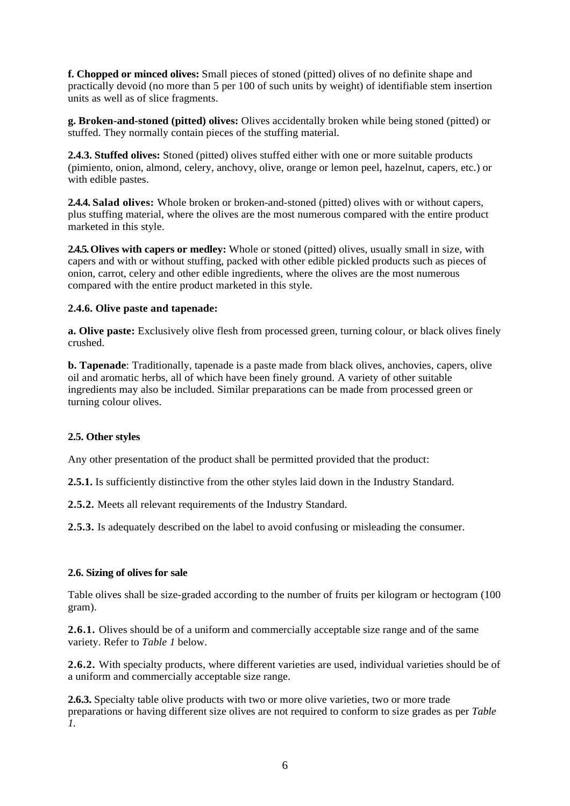**f. Chopped or minced olives:** Small pieces of stoned (pitted) olives of no definite shape and practically devoid (no more than 5 per 100 of such units by weight) of identifiable stem insertion units as well as of slice fragments.

**g. Broken-and-stoned (pitted) olives:** Olives accidentally broken while being stoned (pitted) or stuffed. They normally contain pieces of the stuffing material.

**2.4.3. Stuffed olives:** Stoned (pitted) olives stuffed either with one or more suitable products (pimiento, onion, almond, celery, anchovy, olive, orange or lemon peel, hazelnut, capers, etc.) or with edible pastes.

**2.4.4. Salad olives:** Whole broken or broken-and-stoned (pitted) olives with or without capers, plus stuffing material, where the olives are the most numerous compared with the entire product marketed in this style.

**2.4.5.Olives with capers or medley:** Whole or stoned (pitted) olives, usually small in size, with capers and with or without stuffing, packed with other edible pickled products such as pieces of onion, carrot, celery and other edible ingredients, where the olives are the most numerous compared with the entire product marketed in this style.

#### **2.4.6. Olive paste and tapenade:**

**a. Olive paste:** Exclusively olive flesh from processed green, turning colour, or black olives finely crushed.

**b. Tapenade**: Traditionally, tapenade is a paste made from black olives, anchovies, capers, olive oil and aromatic herbs, all of which have been finely ground. A variety of other suitable ingredients may also be included. Similar preparations can be made from processed green or turning colour olives.

#### **2.5. Other styles**

Any other presentation of the product shall be permitted provided that the product:

**2.5.1.** Is sufficiently distinctive from the other styles laid down in the Industry Standard.

**2.5.2.** Meets all relevant requirements of the Industry Standard.

**2.5.3.** Is adequately described on the label to avoid confusing or misleading the consumer.

#### **2.6. Sizing of olives for sale**

Table olives shall be size-graded according to the number of fruits per kilogram or hectogram (100 gram).

**2.6.1.** Olives should be of a uniform and commercially acceptable size range and of the same variety. Refer to *Table 1* below.

**2.6.2.** With specialty products, where different varieties are used, individual varieties should be of a uniform and commercially acceptable size range.

**2.6.3.** Specialty table olive products with two or more olive varieties, two or more trade preparations or having different size olives are not required to conform to size grades as per *Table 1*.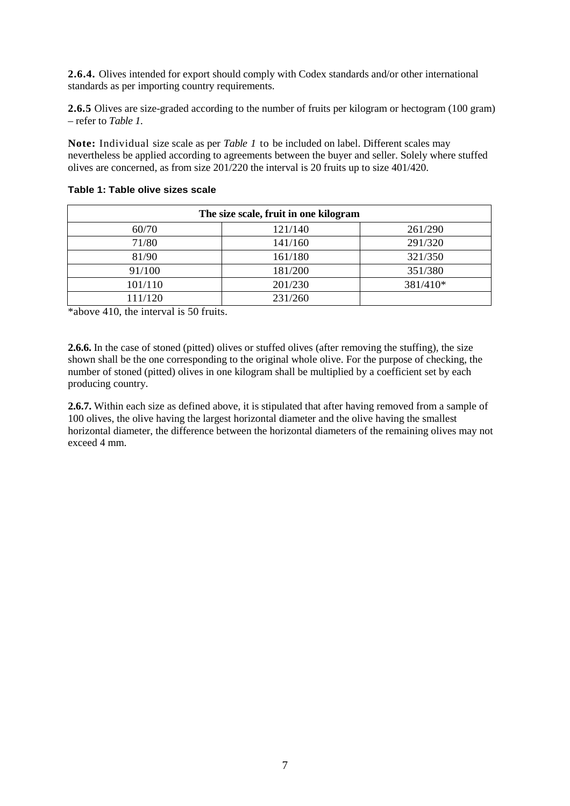**2.6.4.** Olives intended for export should comply with Codex standards and/or other international standards as per importing country requirements.

**2.6.5** Olives are size-graded according to the number of fruits per kilogram or hectogram (100 gram) – refer to *Table 1*.

**Note:** Individual size scale as per *Table 1* to be included on label. Different scales may nevertheless be applied according to agreements between the buyer and seller. Solely where stuffed olives are concerned, as from size 201/220 the interval is 20 fruits up to size 401/420.

| The size scale, fruit in one kilogram |         |          |  |  |  |
|---------------------------------------|---------|----------|--|--|--|
| 60/70                                 | 121/140 | 261/290  |  |  |  |
| 71/80                                 | 141/160 | 291/320  |  |  |  |
| 81/90                                 | 161/180 | 321/350  |  |  |  |
| 91/100                                | 181/200 | 351/380  |  |  |  |
| 101/110                               | 201/230 | 381/410* |  |  |  |
| 111/120                               | 231/260 |          |  |  |  |

<span id="page-16-0"></span>**Table 1: Table olive sizes scale**

\*above 410, the interval is 50 fruits.

**2.6.6.** In the case of stoned (pitted) olives or stuffed olives (after removing the stuffing), the size shown shall be the one corresponding to the original whole olive. For the purpose of checking, the number of stoned (pitted) olives in one kilogram shall be multiplied by a coefficient set by each producing country.

**2.6.7.** Within each size as defined above, it is stipulated that after having removed from a sample of 100 olives, the olive having the largest horizontal diameter and the olive having the smallest horizontal diameter, the difference between the horizontal diameters of the remaining olives may not exceed 4 mm.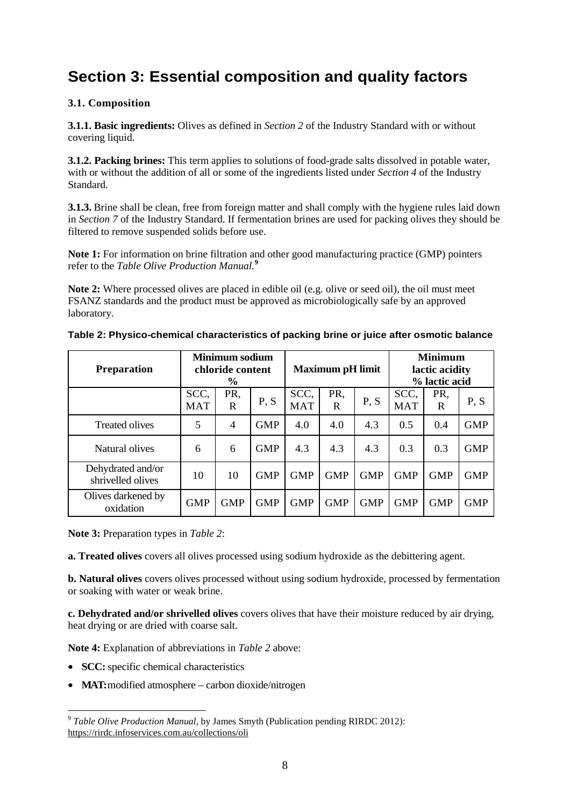## <span id="page-17-0"></span>**Section 3: Essential composition and quality factors**

#### **3.1. Composition**

**3.1.1. Basic ingredients:** Olives as defined in *Section 2* of the Industry Standard with or without covering liquid.

**3.1.2. Packing brines:** This term applies to solutions of food-grade salts dissolved in potable water, with or without the addition of all or some of the ingredients listed under *Section 4* of the Industry Standard.

**3.1.3.** Brine shall be clean, free from foreign matter and shall comply with the hygiene rules laid down in *Section 7* of the Industry Standard. If fermentation brines are used for packing olives they should be filtered to remove suspended solids before use.

**Note 1:** For information on brine filtration and other good manufacturing practice (GMP) pointers refer to the *Table Olive Production Manual.***[9](#page-17-2)**

**Note 2:** Where processed olives are placed in edible oil (e.g. olive or seed oil), the oil must meet FSANZ standards and the product must be approved as microbiologically safe by an approved laboratory.

| <b>Preparation</b>                     | <b>Minimum sodium</b><br>chloride content<br>$\frac{0}{0}$ |                |            | <b>Maximum pH limit</b> |            |            | <b>Minimum</b><br>lactic acidity<br>% lactic acid |            |            |
|----------------------------------------|------------------------------------------------------------|----------------|------------|-------------------------|------------|------------|---------------------------------------------------|------------|------------|
|                                        | SCC,<br><b>MAT</b>                                         | PR.<br>R       | P, S       | SCC,<br><b>MAT</b>      | PR,<br>R   | P, S       | SCC,<br><b>MAT</b>                                | PR,<br>R   | P, S       |
| <b>Treated olives</b>                  | 5                                                          | $\overline{4}$ | <b>GMP</b> | 4.0                     | 4.0        | 4.3        | 0.5                                               | 0.4        | <b>GMP</b> |
| Natural olives                         | 6                                                          | 6              | <b>GMP</b> | 4.3                     | 4.3        | 4.3        | 0.3                                               | 0.3        | <b>GMP</b> |
| Dehydrated and/or<br>shrivelled olives | 10                                                         | 10             | <b>GMP</b> | <b>GMP</b>              | <b>GMP</b> | <b>GMP</b> | <b>GMP</b>                                        | <b>GMP</b> | <b>GMP</b> |
| Olives darkened by<br>oxidation        | <b>GMP</b>                                                 | <b>GMP</b>     | <b>GMP</b> | <b>GMP</b>              | <b>GMP</b> | <b>GMP</b> | <b>GMP</b>                                        | <b>GMP</b> | <b>GMP</b> |

#### <span id="page-17-1"></span>**Table 2: Physico-chemical characteristics of packing brine or juice after osmotic balance**

**Note 3:** Preparation types in *Table 2*:

**a. Treated olives** covers all olives processed using sodium hydroxide as the debittering agent.

**b. Natural olives** covers olives processed without using sodium hydroxide, processed by fermentation or soaking with water or weak brine.

**c. Dehydrated and/or shrivelled olives** covers olives that have their moisture reduced by air drying, heat drying or are dried with coarse salt.

**Note 4:** Explanation of abbreviations in *Table 2* above:

• **SCC:** specific chemical characteristics

 $\overline{a}$ 

• MAT: modified atmosphere – carbon dioxide/nitrogen

<span id="page-17-2"></span><sup>9</sup> *Table Olive Production Manual*, by James Smyth (Publication pending RIRDC 2012): <https://rirdc.infoservices.com.au/collections/oli>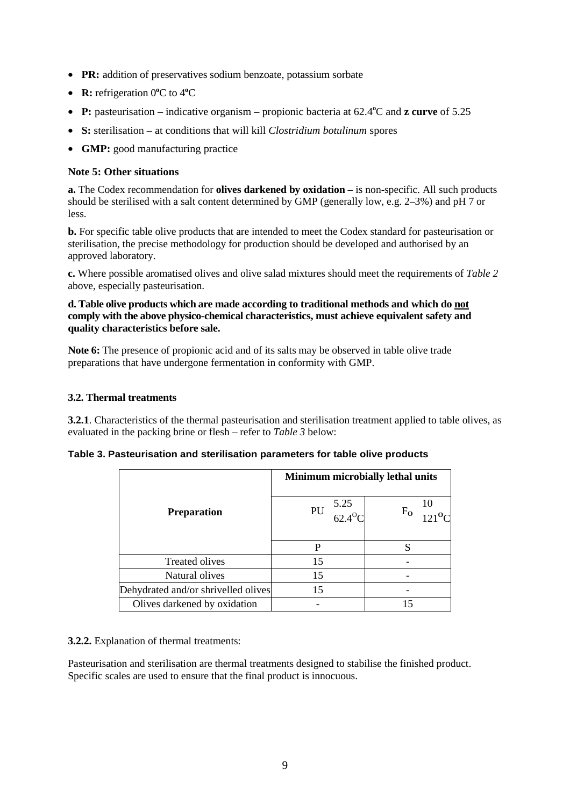- **PR:** addition of preservatives sodium benzoate, potassium sorbate
- **R:** refrigeration 0°C to 4°C
- **P:** pasteurisation indicative organism propionic bacteria at 62.4<sup>o</sup>C and **z curve** of 5.25
- **S:** sterilisation at conditions that will kill *Clostridium botulinum* spores
- **GMP:** good manufacturing practice

#### **Note 5: Other situations**

**a.** The Codex recommendation for **olives darkened by oxidation** – is non-specific. All such products should be sterilised with a salt content determined by GMP (generally low, e.g. 2–3%) and pH 7 or less.

**b.** For specific table olive products that are intended to meet the Codex standard for pasteurisation or sterilisation, the precise methodology for production should be developed and authorised by an approved laboratory.

**c.** Where possible aromatised olives and olive salad mixtures should meet the requirements of *Table 2* above, especially pasteurisation.

#### **d. Table olive products which are made according to traditional methods and which do not comply with the above physico-chemical characteristics, must achieve equivalent safety and quality characteristics before sale.**

**Note 6:** The presence of propionic acid and of its salts may be observed in table olive trade preparations that have undergone fermentation in conformity with GMP.

#### **3.2. Thermal treatments**

**3.2.1**. Characteristics of the thermal pasteurisation and sterilisation treatment applied to table olives, as evaluated in the packing brine or flesh – refer to *Table 3* below:

<span id="page-18-0"></span>

|                                     |                                 | <b>Minimum microbially lethal units</b> |
|-------------------------------------|---------------------------------|-----------------------------------------|
| <b>Preparation</b>                  | PU $\frac{5.25}{62.4^{\circ}C}$ | $F_{O}$                                 |
|                                     | P                               |                                         |
| Treated olives                      | 15                              |                                         |
| Natural olives                      | 15                              |                                         |
| Dehydrated and/or shrivelled olives | 15                              |                                         |
| Olives darkened by oxidation        |                                 |                                         |

**3.2.2.** Explanation of thermal treatments:

Pasteurisation and sterilisation are thermal treatments designed to stabilise the finished product. Specific scales are used to ensure that the final product is innocuous.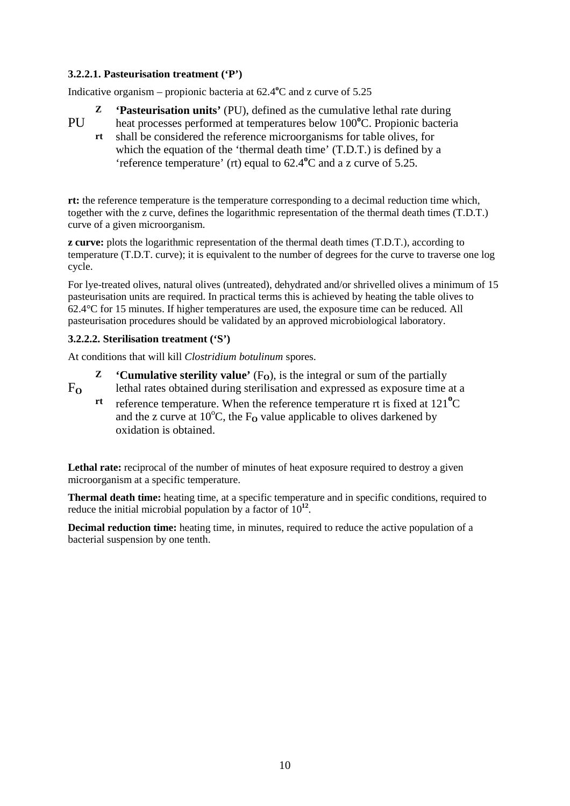#### **3.2.2.1. Pasteurisation treatment ('P')**

Indicative organism – propionic bacteria at 62.4<sup>o</sup>C and z curve of 5.25

- **Z 'Pasteurisation units'** (PU), defined as the cumulative lethal rate during
- heat processes performed at temperatures below 100°C. Propionic bacteria PU<sub>1</sub>
	- shall be considered the reference microorganisms for table olives, for which the equation of the 'thermal death time' (T.D.T.) is defined by a 'reference temperature' (rt) equal to  $62.4^{\circ}$ C and a z curve of 5.25. **rt**

**rt:** the reference temperature is the temperature corresponding to a decimal reduction time which, together with the z curve, defines the logarithmic representation of the thermal death times (T.D.T.) curve of a given microorganism.

**z curve:** plots the logarithmic representation of the thermal death times (T.D.T.), according to temperature (T.D.T. curve); it is equivalent to the number of degrees for the curve to traverse one log cycle.

For lye-treated olives, natural olives (untreated), dehydrated and/or shrivelled olives a minimum of 15 pasteurisation units are required. In practical terms this is achieved by heating the table olives to 62.4°C for 15 minutes. If higher temperatures are used, the exposure time can be reduced. All pasteurisation procedures should be validated by an approved microbiological laboratory.

#### **3.2.2.2. Sterilisation treatment ('S')**

At conditions that will kill *Clostridium botulinum* spores.

- **Z 'Cumulative sterility value'**  $(F<sub>O</sub>)$ , is the integral or sum of the partially lethal rates obtained during sterilisation and expressed as exposure time at a  $F_{\Omega}$ 
	- reference temperature. When the reference temperature rt is fixed at 121<sup>°</sup>C and the z curve at  $10^{\circ}$ C, the F<sub>O</sub> value applicable to olives darkened by oxidation is obtained. **rt**

Lethal rate: reciprocal of the number of minutes of heat exposure required to destroy a given microorganism at a specific temperature.

**Thermal death time:** heating time, at a specific temperature and in specific conditions, required to reduce the initial microbial population by a factor of 10**<sup>12</sup>**.

**Decimal reduction time:** heating time, in minutes, required to reduce the active population of a bacterial suspension by one tenth.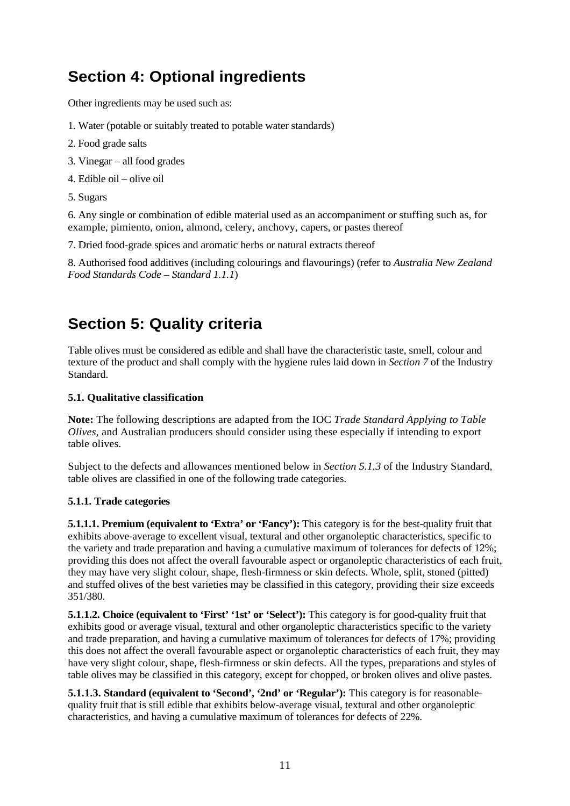## <span id="page-20-0"></span>**Section 4: Optional ingredients**

Other ingredients may be used such as:

- 1. Water (potable or suitably treated to potable water standards)
- 2. Food grade salts
- 3. Vinegar all food grades
- 4. Edible oil olive oil
- 5. Sugars

6. Any single or combination of edible material used as an accompaniment or stuffing such as, for example, pimiento, onion, almond, celery, anchovy, capers, or pastes thereof

7. Dried food-grade spices and aromatic herbs or natural extracts thereof

8. Authorised food additives (including colourings and flavourings) (refer to *Australia New Zealand Food Standards Code – Standard 1.1.1*)

## <span id="page-20-1"></span>**Section 5: Quality criteria**

Table olives must be considered as edible and shall have the characteristic taste, smell, colour and texture of the product and shall comply with the hygiene rules laid down in *Section 7* of the Industry Standard.

#### **5.1. Qualitative classification**

**Note:** The following descriptions are adapted from the IOC *Trade Standard Applying to Table Olives*, and Australian producers should consider using these especially if intending to export table olives.

Subject to the defects and allowances mentioned below in *Section 5.1.3* of the Industry Standard, table olives are classified in one of the following trade categories.

#### **5.1.1. Trade categories**

**5.1.1.1. Premium (equivalent to 'Extra' or 'Fancy'):** This category is for the best-quality fruit that exhibits above-average to excellent visual, textural and other organoleptic characteristics, specific to the variety and trade preparation and having a cumulative maximum of tolerances for defects of 12%; providing this does not affect the overall favourable aspect or organoleptic characteristics of each fruit, they may have very slight colour, shape, flesh-firmness or skin defects. Whole, split, stoned (pitted) and stuffed olives of the best varieties may be classified in this category, providing their size exceeds 351/380.

**5.1.1.2. Choice (equivalent to 'First' '1st' or 'Select'):** This category is for good-quality fruit that exhibits good or average visual, textural and other organoleptic characteristics specific to the variety and trade preparation, and having a cumulative maximum of tolerances for defects of 17%; providing this does not affect the overall favourable aspect or organoleptic characteristics of each fruit, they may have very slight colour, shape, flesh-firmness or skin defects. All the types, preparations and styles of table olives may be classified in this category, except for chopped, or broken olives and olive pastes.

**5.1.1.3. Standard (equivalent to 'Second', '2nd' or 'Regular'):** This category is for reasonablequality fruit that is still edible that exhibits below-average visual, textural and other organoleptic characteristics, and having a cumulative maximum of tolerances for defects of 22%.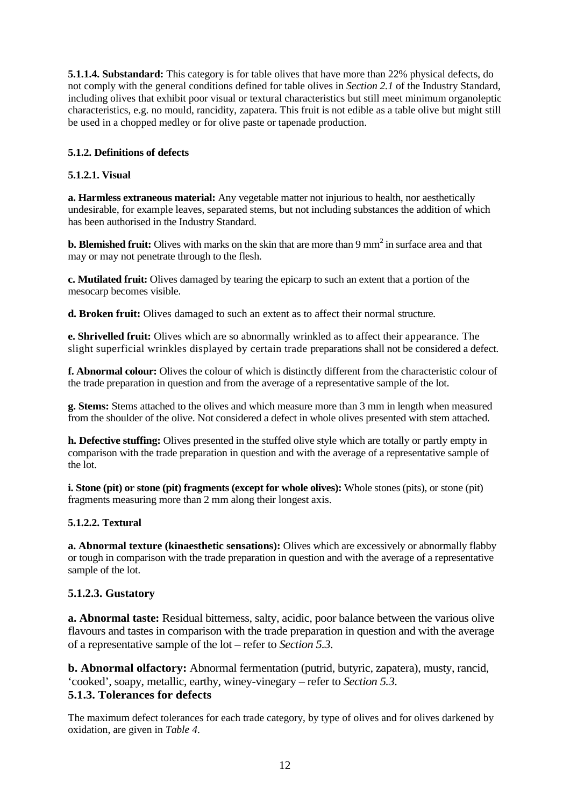**5.1.1.4. Substandard:** This category is for table olives that have more than 22% physical defects, do not comply with the general conditions defined for table olives in *Section 2.1* of the Industry Standard, including olives that exhibit poor visual or textural characteristics but still meet minimum organoleptic characteristics, e.g. no mould, rancidity, zapatera. This fruit is not edible as a table olive but might still be used in a chopped medley or for olive paste or tapenade production.

#### **5.1.2. Definitions of defects**

#### **5.1.2.1. Visual**

**a. Harmless extraneous material:** Any vegetable matter not injurious to health, nor aesthetically undesirable, for example leaves, separated stems, but not including substances the addition of which has been authorised in the Industry Standard.

**b. Blemished fruit:** Olives with marks on the skin that are more than 9 mm<sup>2</sup> in surface area and that may or may not penetrate through to the flesh.

**c. Mutilated fruit:** Olives damaged by tearing the epicarp to such an extent that a portion of the mesocarp becomes visible.

**d. Broken fruit:** Olives damaged to such an extent as to affect their normal structure.

**e. Shrivelled fruit:** Olives which are so abnormally wrinkled as to affect their appearance. The slight superficial wrinkles displayed by certain trade preparations shall not be considered a defect.

**f. Abnormal colour:** Olives the colour of which is distinctly different from the characteristic colour of the trade preparation in question and from the average of a representative sample of the lot.

**g. Stems:** Stems attached to the olives and which measure more than 3 mm in length when measured from the shoulder of the olive. Not considered a defect in whole olives presented with stem attached.

**h. Defective stuffing:** Olives presented in the stuffed olive style which are totally or partly empty in comparison with the trade preparation in question and with the average of a representative sample of the lot.

**i. Stone (pit) or stone (pit) fragments (except for whole olives):** Whole stones (pits), or stone (pit) fragments measuring more than 2 mm along their longest axis.

#### **5.1.2.2. Textural**

**a. Abnormal texture (kinaesthetic sensations):** Olives which are excessively or abnormally flabby or tough in comparison with the trade preparation in question and with the average of a representative sample of the lot.

#### **5.1.2.3. Gustatory**

**a. Abnormal taste:** Residual bitterness, salty, acidic, poor balance between the various olive flavours and tastes in comparison with the trade preparation in question and with the average of a representative sample of the lot – refer to *Section 5.3*.

**b. Abnormal olfactory:** Abnormal fermentation (putrid, butyric, zapatera), musty, rancid, 'cooked', soapy, metallic, earthy, winey-vinegary – refer to *Section 5.3*. **5.1.3. Tolerances for defects**

The maximum defect tolerances for each trade category, by type of olives and for olives darkened by oxidation, are given in *Table 4*.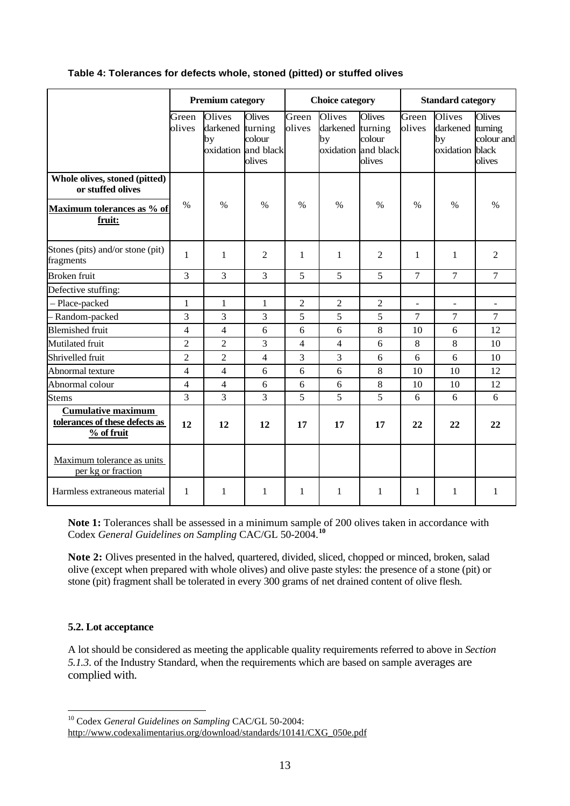#### <span id="page-22-0"></span>**Table 4: Tolerances for defects whole, stoned (pitted) or stuffed olives**

|                                                                             | <b>Premium category</b> |                                  | <b>Choice category</b>                                   |                 |                                                         | <b>Standard category</b>          |                 |                                                     |                                       |
|-----------------------------------------------------------------------------|-------------------------|----------------------------------|----------------------------------------------------------|-----------------|---------------------------------------------------------|-----------------------------------|-----------------|-----------------------------------------------------|---------------------------------------|
|                                                                             | Green<br>olives         | Olives<br>darkened turning<br>by | <b>Olives</b><br>colour<br>oxidation and black<br>olives | Green<br>olives | Olives<br>darkened turning<br>by<br>oxidation and black | <b>Olives</b><br>colour<br>olives | Green<br>olives | Olives<br>darkened turning<br>by<br>oxidation black | <b>Olives</b><br>colour and<br>olives |
| Whole olives, stoned (pitted)<br>or stuffed olives                          |                         |                                  |                                                          |                 |                                                         |                                   |                 |                                                     |                                       |
| Maximum tolerances as % of<br>fruit:                                        | $\frac{0}{0}$           | $\frac{0}{0}$                    | $\%$                                                     | $\%$            | $\%$                                                    | $\frac{0}{0}$                     | $\%$            | $\frac{0}{0}$                                       | $\frac{0}{0}$                         |
| Stones (pits) and/or stone (pit)<br>fragments                               | 1                       | $\mathbf{1}$                     | $\overline{2}$                                           | 1               | 1                                                       | $\overline{2}$                    | 1               | 1                                                   | $\overline{2}$                        |
| <b>Broken</b> fruit                                                         | 3                       | 3                                | 3                                                        | 5               | 5                                                       | 5                                 | $\overline{7}$  | $\tau$                                              | $\overline{7}$                        |
| Defective stuffing:                                                         |                         |                                  |                                                          |                 |                                                         |                                   |                 |                                                     |                                       |
| - Place-packed                                                              | $\mathbf{1}$            | $\mathbf{1}$                     | 1                                                        | $\overline{2}$  | $\overline{2}$                                          | $\overline{2}$                    | $\blacksquare$  | $\overline{a}$                                      | ÷.                                    |
| - Random-packed                                                             | 3                       | 3                                | 3                                                        | 5               | 5                                                       | 5                                 | $\overline{7}$  | $\overline{7}$                                      | $\overline{7}$                        |
| <b>Blemished fruit</b>                                                      | $\overline{4}$          | $\overline{4}$                   | 6                                                        | 6               | 6                                                       | 8                                 | 10              | 6                                                   | 12                                    |
| Mutilated fruit                                                             | $\overline{2}$          | $\overline{2}$                   | 3                                                        | $\overline{4}$  | $\overline{4}$                                          | 6                                 | 8               | 8                                                   | 10                                    |
| Shrivelled fruit                                                            | $\overline{c}$          | $\overline{2}$                   | $\overline{4}$                                           | 3               | 3                                                       | 6                                 | 6               | 6                                                   | 10                                    |
| Abnormal texture                                                            | $\overline{4}$          | $\overline{4}$                   | 6                                                        | 6               | 6                                                       | 8                                 | 10              | 10                                                  | 12                                    |
| Abnormal colour                                                             | $\overline{4}$          | $\overline{4}$                   | 6                                                        | 6               | 6                                                       | 8                                 | 10              | 10                                                  | 12                                    |
| <b>Stems</b>                                                                | $\overline{3}$          | 3                                | 3                                                        | 5               | 5                                                       | 5                                 | 6               | 6                                                   | 6                                     |
| <b>Cumulative maximum</b><br>tolerances of these defects as<br>$%$ of fruit | 12                      | 12                               | 12                                                       | 17              | 17                                                      | 17                                | 22              | 22                                                  | 22                                    |
| Maximum tolerance as units<br>per kg or fraction                            |                         |                                  |                                                          |                 |                                                         |                                   |                 |                                                     |                                       |
| Harmless extraneous material                                                | 1                       | 1                                | 1                                                        | 1               | 1                                                       | $\mathbf{1}$                      | 1               | 1                                                   | $\mathbf{1}$                          |

**Note 1:** Tolerances shall be assessed in a minimum sample of 200 olives taken in accordance with Codex *General Guidelines on Sampling* CAC/GL 50-2004.**[10](#page-22-1)**

**Note 2:** Olives presented in the halved, quartered, divided, sliced, chopped or minced, broken, salad olive (except when prepared with whole olives) and olive paste styles: the presence of a stone (pit) or stone (pit) fragment shall be tolerated in every 300 grams of net drained content of olive flesh.

#### **5.2. Lot acceptance**

 $\overline{a}$ 

A lot should be considered as meeting the applicable quality requirements referred to above in *Section 5.1.3*. of the Industry Standard, when the requirements which are based on sample averages are complied with.

<sup>10</sup> Codex *General Guidelines on Sampling* CAC/GL 50-2004:

<span id="page-22-1"></span>[http://www.codexalimentarius.org/download/standards/10141/CXG\\_050e.pdf](http://www.codexalimentarius.org/download/standards/10141/CXG_050e.pdf)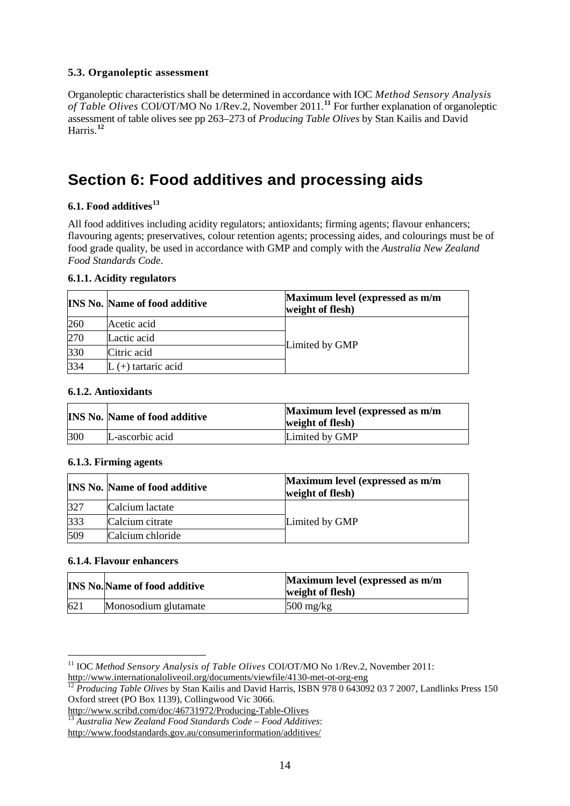#### **5.3. Organoleptic assessment**

Organoleptic characteristics shall be determined in accordance with IOC *Method Sensory Analysis of Table Olives* COI/OT/MO No 1/Rev.2, November 2011.**[11](#page-23-1)** For further explanation of organoleptic assessment of table olives see pp 263–273 of *Producing Table Olives* by Stan Kailis and David Harris.**[12](#page-23-2)**

### <span id="page-23-0"></span>**Section 6: Food additives and processing aids**

#### **6.1. Food additives[13](#page-23-3)**

All food additives including acidity regulators; antioxidants; firming agents; flavour enhancers; flavouring agents; preservatives, colour retention agents; processing aides, and colourings must be of food grade quality, be used in accordance with GMP and comply with the *Australia New Zealand Food Standards Code*.

#### **6.1.1. Acidity regulators**

|     | <b>INS No. Name of food additive</b> | Maximum level (expressed as m/m<br>weight of flesh) |
|-----|--------------------------------------|-----------------------------------------------------|
| 260 | Acetic acid                          |                                                     |
| 270 | Lactic acid                          |                                                     |
| 330 | Citric acid                          | Limited by GMP                                      |
| 334 | (+) tartaric acid                    |                                                     |

#### **6.1.2. Antioxidants**

|     | <b>INS No. Name of food additive</b> | Maximum level (expressed as m/m<br>weight of flesh) |
|-----|--------------------------------------|-----------------------------------------------------|
| 300 | L-ascorbic acid                      | Limited by GMP                                      |

#### **6.1.3. Firming agents**

|     | <b>INS No. Name of food additive</b> | Maximum level (expressed as m/m<br>weight of flesh) |
|-----|--------------------------------------|-----------------------------------------------------|
| 327 | Calcium lactate                      |                                                     |
| 333 | Calcium citrate                      | Limited by GMP                                      |
| 509 | Calcium chloride                     |                                                     |

#### **6.1.4. Flavour enhancers**

 $\overline{a}$ 

|     | <b>INS No. Name of food additive</b> | Maximum level (expressed as m/m<br>weight of flesh) |
|-----|--------------------------------------|-----------------------------------------------------|
| 621 | Monosodium glutamate                 | $500 \text{ mg/kg}$                                 |

<span id="page-23-1"></span><sup>11</sup> IOC *Method Sensory Analysis of Table Olives* COI/OT/MO No 1/Rev.2, November 2011: http://www.internationaloliveoil.org/documents/viewfile/4130-met-ot-org-eng<br><sup>12</sup> *Producing Table Olives* by Stan Kailis and David Harris, ISBN 978 0 643092 03 7 2007, Landlinks Press 150

<span id="page-23-2"></span>Oxford street (PO Box 1139), Collingwood Vic 3066.<br>http://www.scribd.com/doc/46731972/Producing-Table-Olives

<span id="page-23-3"></span><sup>&</sup>lt;sup>13</sup> Australia New Zealand Food Standards Code – Food Additives:

<http://www.foodstandards.gov.au/consumerinformation/additives/>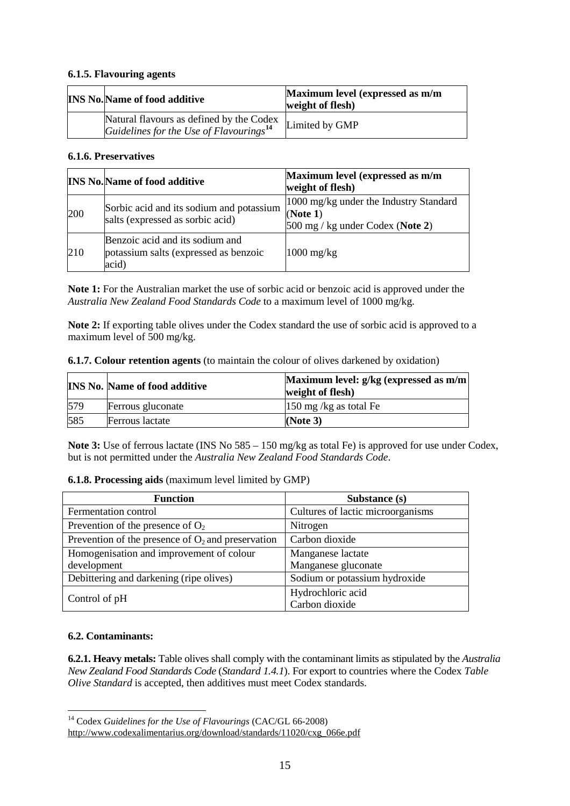#### **6.1.5. Flavouring agents**

| <b>INS No. Name of food additive</b>                                                            | Maximum level (expressed as m/m<br>weight of flesh) |
|-------------------------------------------------------------------------------------------------|-----------------------------------------------------|
| Natural flavours as defined by the Codex<br>Guidelines for the Use of Flavourings <sup>14</sup> | Limited by GMP                                      |

#### **6.1.6. Preservatives**

|     | <b>INS No. Name of food additive</b>                                              | Maximum level (expressed as m/m<br>weight of flesh)                                      |
|-----|-----------------------------------------------------------------------------------|------------------------------------------------------------------------------------------|
| 200 | Sorbic acid and its sodium and potassium<br>salts (expressed as sorbic acid)      | 1000 mg/kg under the Industry Standard<br>(Note 1)<br>$500$ mg / kg under Codex (Note 2) |
| 210 | Benzoic acid and its sodium and<br>potassium salts (expressed as benzoic<br>acid) | $1000 \text{ mg/kg}$                                                                     |

**Note 1:** For the Australian market the use of sorbic acid or benzoic acid is approved under the *Australia New Zealand Food Standards Code* to a maximum level of 1000 mg/kg.

**Note 2:** If exporting table olives under the Codex standard the use of sorbic acid is approved to a maximum level of 500 mg/kg.

| <b>6.1.7. Colour retention agents</b> (to maintain the colour of olives darkened by oxidation) |
|------------------------------------------------------------------------------------------------|
|------------------------------------------------------------------------------------------------|

|     | <b>INS No. Name of food additive</b> | Maximum level: g/kg (expressed as m/m)<br>weight of flesh) |
|-----|--------------------------------------|------------------------------------------------------------|
| 579 | Ferrous gluconate                    | $150$ mg /kg as total Fe                                   |
| 585 | <b>Ferrous</b> lactate               | (Note $3$ )                                                |

**Note 3:** Use of ferrous lactate (INS No 585 – 150 mg/kg as total Fe) is approved for use under Codex, but is not permitted under the *Australia New Zealand Food Standards Code*.

#### **6.1.8. Processing aids** (maximum level limited by GMP)

| <b>Function</b>                                      | Substance (s)                     |  |
|------------------------------------------------------|-----------------------------------|--|
| Fermentation control                                 | Cultures of lactic microorganisms |  |
| Prevention of the presence of $O_2$                  | Nitrogen                          |  |
| Prevention of the presence of $O_2$ and preservation | Carbon dioxide                    |  |
| Homogenisation and improvement of colour             | Manganese lactate                 |  |
| development                                          | Manganese gluconate               |  |
| Debittering and darkening (ripe olives)              | Sodium or potassium hydroxide     |  |
| Control of pH                                        | Hydrochloric acid                 |  |
|                                                      | Carbon dioxide                    |  |

#### **6.2. Contaminants:**

 $\overline{a}$ 

**6.2.1. Heavy metals:** Table olives shall comply with the contaminant limits as stipulated by the *Australia New Zealand Food Standards Code* (*Standard 1.4.1*). For export to countries where the Codex *Table Olive Standard* is accepted, then additives must meet Codex standards.

<sup>14</sup> Codex *Guidelines for the Use of Flavourings* (CAC/GL 66-2008)

<span id="page-24-0"></span>[http://www.codexalimentarius.org/download/standards/11020/cxg\\_066e.pdf](http://www.codexalimentarius.org/download/standards/11020/cxg_066e.pdf)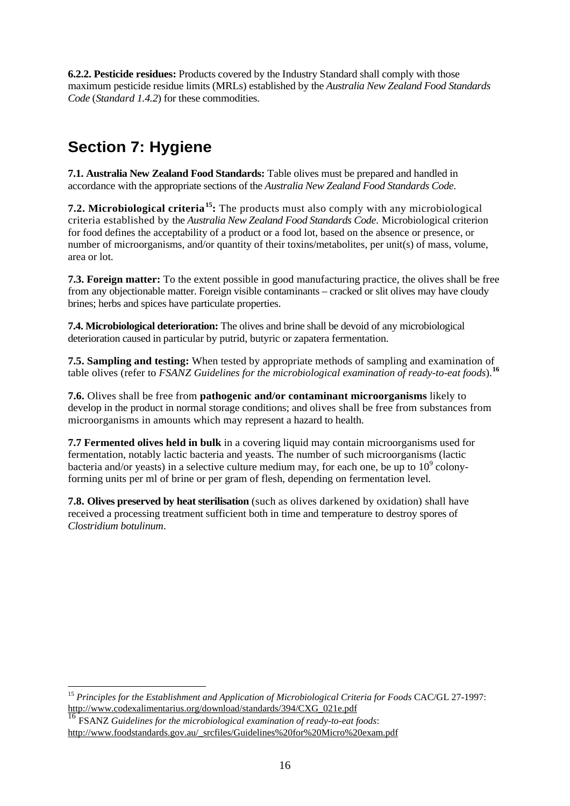**6.2.2. Pesticide residues:** Products covered by the Industry Standard shall comply with those maximum pesticide residue limits (MRLs) established by the *Australia New Zealand Food Standards Code* (*Standard 1.4.2*) for these commodities.

## <span id="page-25-0"></span>**Section 7: Hygiene**

**7.1. Australia New Zealand Food Standards:** Table olives must be prepared and handled in accordance with the appropriate sections of the *Australia New Zealand Food Standards Code*.

**7.2. Microbiological criteria[15:](#page-25-1)** The products must also comply with any microbiological criteria established by the *Australia New Zealand Food Standards Code*. Microbiological criterion for food defines the acceptability of a product or a food lot, based on the absence or presence, or number of microorganisms, and/or quantity of their toxins/metabolites, per unit(s) of mass, volume, area or lot.

**7.3. Foreign matter:** To the extent possible in good manufacturing practice, the olives shall be free from any objectionable matter. Foreign visible contaminants – cracked or slit olives may have cloudy brines; herbs and spices have particulate properties.

**7.4. Microbiological deterioration:** The olives and brine shall be devoid of any microbiological deterioration caused in particular by putrid, butyric or zapatera fermentation.

**7.5. Sampling and testing:** When tested by appropriate methods of sampling and examination of table olives (refer to *FSANZ Guidelines for the microbiological examination of ready-to-eat foods*).**[16](#page-25-2)**

**7.6.** Olives shall be free from **pathogenic and/or contaminant microorganisms** likely to develop in the product in normal storage conditions; and olives shall be free from substances from microorganisms in amounts which may represent a hazard to health.

**7.7 Fermented olives held in bulk** in a covering liquid may contain microorganisms used for fermentation, notably lactic bacteria and yeasts. The number of such microorganisms (lactic bacteria and/or yeasts) in a selective culture medium may, for each one, be up to  $10^9$  colonyforming units per ml of brine or per gram of flesh, depending on fermentation level.

**7.8. Olives preserved by heat sterilisation** (such as olives darkened by oxidation) shall have received a processing treatment sufficient both in time and temperature to destroy spores of *Clostridium botulinum*.

<span id="page-25-1"></span> $\overline{a}$ <sup>15</sup> *Principles for the Establishment and Application of Microbiological Criteria for Foods CAC/GL 27-1997:*<br>http://www.codexalimentarius.org/download/standards/394/CXG 021e.pdf

<span id="page-25-2"></span><sup>&</sup>lt;sup>16</sup> FSANZ Guidelines for the microbiological examination of ready-to-eat foods: [http://www.foodstandards.gov.au/\\_srcfiles/Guidelines%20for%20Micro%20exam.pdf](http://www.foodstandards.gov.au/_srcfiles/Guidelines%20for%20Micro%20exam.pdf)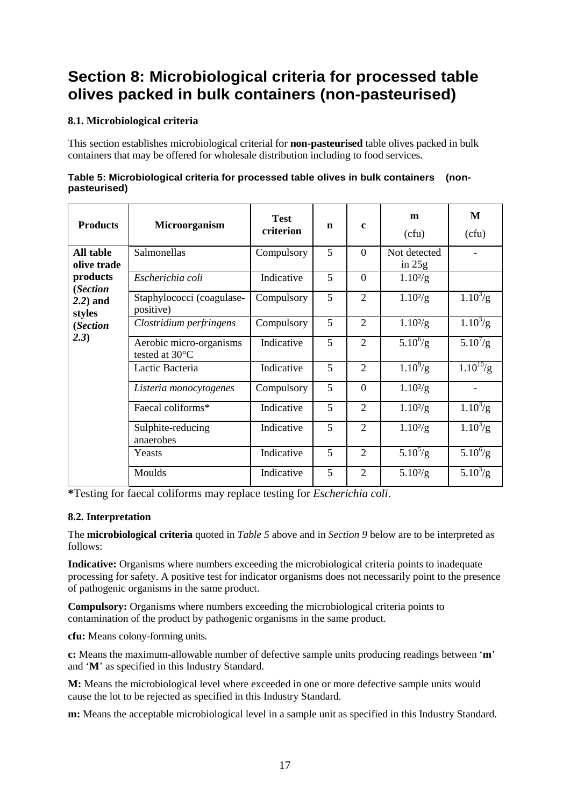### <span id="page-26-0"></span>**Section 8: Microbiological criteria for processed table olives packed in bulk containers (non-pasteurised)**

#### **8.1. Microbiological criteria**

This section establishes microbiological criterial for **non-pasteurised** table olives packed in bulk containers that may be offered for wholesale distribution including to food services.

<span id="page-26-1"></span>

| Table 5: Microbiological criteria for processed table olives in bulk containers (non- |  |
|---------------------------------------------------------------------------------------|--|
| pasteurised)                                                                          |  |

| <b>Products</b>          | Microorganism                             | <b>Test</b><br>criterion | $\mathbf n$ | $\mathbf{c}$   | m<br>(cfu)               | М<br>(cfu)    |
|--------------------------|-------------------------------------------|--------------------------|-------------|----------------|--------------------------|---------------|
| All table<br>olive trade | Salmonellas                               | Compulsory               | 5           | $\Omega$       | Not detected<br>in $25g$ |               |
| products<br>(Section     | Escherichia coli                          | Indicative               | 5           | $\theta$       | $1.10^{2}/g$             |               |
| $2.2)$ and<br>styles     | Staphylococci (coagulase-<br>positive)    | Compulsory               | 5           | 2              | $1.10^{2}/g$             | $1.10^{3}/g$  |
| (Section                 | Clostridium perfringens                   | Compulsory               | 5           | $\overline{2}$ | $1.10^{2}/g$             | $1.10^{3}/g$  |
| (2.3)                    | Aerobic micro-organisms<br>tested at 30°C | Indicative               | 5           | 2              | $5.10^{6}/g$             | $5.10^{7}/g$  |
|                          | Lactic Bacteria                           | Indicative               | 5           | $\overline{2}$ | $1.10^{9}/g$             | $1.10^{10}/g$ |
|                          | Listeria monocytogenes                    | Compulsory               | 5           | $\theta$       | $1.10^{2}/g$             |               |
|                          | Faecal coliforms*                         | Indicative               | 5           | $\overline{2}$ | $1.10^{2}/g$             | $1.10^{3}/g$  |
|                          | Sulphite-reducing<br>anaerobes            | Indicative               | 5           | $\overline{2}$ | $1.10^{2}/g$             | $1.10^{3}/g$  |
|                          | Yeasts                                    | Indicative               | 5           | $\overline{2}$ | $5.10^{5}/g$             | $5.10^{6}/g$  |
|                          | Moulds                                    | Indicative               | 5           | $\overline{2}$ | $5.10^{2}/g$             | $5.10^{3}/g$  |

**\***Testing for faecal coliforms may replace testing for *Escherichia coli*.

#### **8.2. Interpretation**

The **microbiological criteria** quoted in *Table 5* above and in *Section 9* below are to be interpreted as follows:

**Indicative:** Organisms where numbers exceeding the microbiological criteria points to inadequate processing for safety. A positive test for indicator organisms does not necessarily point to the presence of pathogenic organisms in the same product.

**Compulsory:** Organisms where numbers exceeding the microbiological criteria points to contamination of the product by pathogenic organisms in the same product.

**cfu:** Means colony-forming units.

**c:** Means the maximum-allowable number of defective sample units producing readings between '**m**' and '**M**' as specified in this Industry Standard.

**M:** Means the microbiological level where exceeded in one or more defective sample units would cause the lot to be rejected as specified in this Industry Standard.

**m:** Means the acceptable microbiological level in a sample unit as specified in this Industry Standard.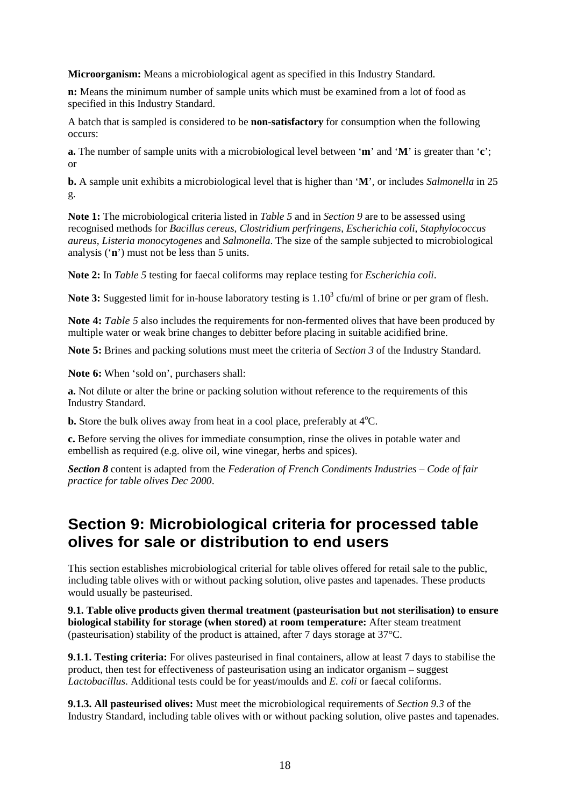**Microorganism:** Means a microbiological agent as specified in this Industry Standard.

**n:** Means the minimum number of sample units which must be examined from a lot of food as specified in this Industry Standard.

A batch that is sampled is considered to be **non-satisfactory** for consumption when the following occurs:

**a.** The number of sample units with a microbiological level between '**m**' and '**M**' is greater than '**c**'; or

**b.** A sample unit exhibits a microbiological level that is higher than '**M**', or includes *Salmonella* in 25 g.

**Note 1:** The microbiological criteria listed in *Table 5* and in *Section 9* are to be assessed using recognised methods for *Bacillus cereus*, *Clostridium perfringens*, *Escherichia coli*, *Staphylococcus aureus*, *Listeria monocytogenes* and *Salmonella*. The size of the sample subjected to microbiological analysis ('**n**') must not be less than 5 units.

**Note 2:** In *Table 5* testing for faecal coliforms may replace testing for *Escherichia coli*.

**Note 3:** Suggested limit for in-house laboratory testing is 1.10<sup>3</sup> cfu/ml of brine or per gram of flesh.

**Note 4:** *Table 5* also includes the requirements for non-fermented olives that have been produced by multiple water or weak brine changes to debitter before placing in suitable acidified brine.

**Note 5:** Brines and packing solutions must meet the criteria of *Section 3* of the Industry Standard.

**Note 6:** When 'sold on', purchasers shall:

**a.** Not dilute or alter the brine or packing solution without reference to the requirements of this Industry Standard.

**b.** Store the bulk olives away from heat in a cool place, preferably at  $4^{\circ}$ C.

**c.** Before serving the olives for immediate consumption, rinse the olives in potable water and embellish as required (e.g. olive oil, wine vinegar, herbs and spices).

*Section 8* content is adapted from the *Federation of French Condiments Industries – Code of fair practice for table olives Dec 2000*.

### <span id="page-27-0"></span>**Section 9: Microbiological criteria for processed table olives for sale or distribution to end users**

This section establishes microbiological criterial for table olives offered for retail sale to the public, including table olives with or without packing solution, olive pastes and tapenades. These products would usually be pasteurised.

**9.1. Table olive products given thermal treatment (pasteurisation but not sterilisation) to ensure biological stability for storage (when stored) at room temperature:** After steam treatment (pasteurisation) stability of the product is attained, after 7 days storage at 37°C.

**9.1.1. Testing criteria:** For olives pasteurised in final containers, allow at least 7 days to stabilise the product, then test for effectiveness of pasteurisation using an indicator organism – suggest *Lactobacillus*. Additional tests could be for yeast/moulds and *E. coli* or faecal coliforms.

**9.1.3. All pasteurised olives:** Must meet the microbiological requirements of *Section 9.3* of the Industry Standard, including table olives with or without packing solution, olive pastes and tapenades.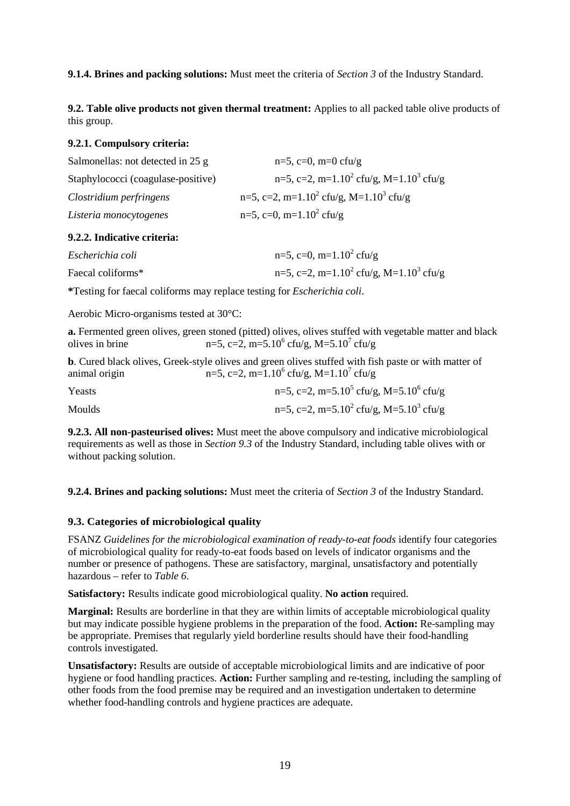**9.1.4. Brines and packing solutions:** Must meet the criteria of *Section 3* of the Industry Standard.

**9.2. Table olive products not given thermal treatment:** Applies to all packed table olive products of this group.

#### **9.2.1. Compulsory criteria:**

| Salmonellas: not detected in 25 g  | $n=5$ , c=0, m=0 cfu/g                                         |
|------------------------------------|----------------------------------------------------------------|
| Staphylococci (coagulase-positive) | n=5, c=2, m=1.10 <sup>2</sup> cfu/g, M=1.10 <sup>3</sup> cfu/g |
| Clostridium perfringens            | n=5, c=2, m=1.10 <sup>2</sup> cfu/g, M=1.10 <sup>3</sup> cfu/g |
| Listeria monocytogenes             | $n=5$ , c=0, m=1.10 <sup>2</sup> cfu/g                         |

#### **9.2.2. Indicative criteria:**

| Escherichia coli  | $n=5$ , c=0, m=1.10 <sup>2</sup> cfu/g                         |
|-------------------|----------------------------------------------------------------|
| Faecal coliforms* | n=5, c=2, m=1.10 <sup>2</sup> cfu/g, M=1.10 <sup>3</sup> cfu/g |

**\***Testing for faecal coliforms may replace testing for *Escherichia coli*.

Aerobic Micro-organisms tested at 30°C:

**a.** Fermented green olives, green stoned (pitted) olives, olives stuffed with vegetable matter and black olives in brine  $n=5$ ,  $c=2$ ,  $m=5.10^6$  cfu/g,  $M=5.10^7$  cfu/g

**b**. Cured black olives, Greek-style olives and green olives stuffed with fish paste or with matter of animal origin  $n=5$ ,  $c=2$ ,  $m=1.10^6$  cfu/g,  $M=1.10^7$  cfu/g animal origin  $n=5$ , c=2, m=1.10<sup>6</sup> cfu/g, M=1.10<sup>7</sup> cfu/g

| Yeasts        | n=5, c=2, m=5.10 <sup>5</sup> cfu/g, M=5.10 <sup>6</sup> cfu/g |
|---------------|----------------------------------------------------------------|
| <b>Moulds</b> | n=5, c=2, m=5.10 <sup>2</sup> cfu/g, M=5.10 <sup>3</sup> cfu/g |

**9.2.3. All non-pasteurised olives:** Must meet the above compulsory and indicative microbiological requirements as well as those in *Section 9.3* of the Industry Standard, including table olives with or without packing solution.

**9.2.4. Brines and packing solutions:** Must meet the criteria of *Section 3* of the Industry Standard.

#### **9.3. Categories of microbiological quality**

FSANZ *Guidelines for the microbiological examination of ready-to-eat foods* identify four categories of microbiological quality for ready-to-eat foods based on levels of indicator organisms and the number or presence of pathogens. These are satisfactory, marginal, unsatisfactory and potentially hazardous – refer to *Table 6*.

**Satisfactory:** Results indicate good microbiological quality. **No action** required.

**Marginal:** Results are borderline in that they are within limits of acceptable microbiological quality but may indicate possible hygiene problems in the preparation of the food. **Action:** Re-sampling may be appropriate. Premises that regularly yield borderline results should have their food-handling controls investigated.

**Unsatisfactory:** Results are outside of acceptable microbiological limits and are indicative of poor hygiene or food handling practices. **Action:** Further sampling and re-testing, including the sampling of other foods from the food premise may be required and an investigation undertaken to determine whether food-handling controls and hygiene practices are adequate.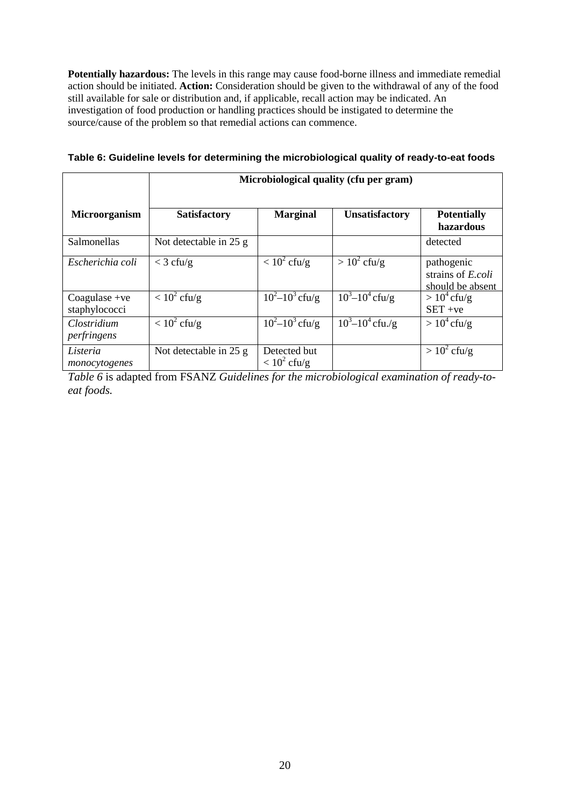**Potentially hazardous:** The levels in this range may cause food-borne illness and immediate remedial action should be initiated. **Action:** Consideration should be given to the withdrawal of any of the food still available for sale or distribution and, if applicable, recall action may be indicated. An investigation of food production or handling practices should be instigated to determine the source/cause of the problem so that remedial actions can commence.

|                                  | Microbiological quality (cfu per gram) |                                |                       |                                                     |  |
|----------------------------------|----------------------------------------|--------------------------------|-----------------------|-----------------------------------------------------|--|
| Microorganism                    | <b>Satisfactory</b>                    | <b>Marginal</b>                | <b>Unsatisfactory</b> | <b>Potentially</b><br>hazardous                     |  |
| Salmonellas                      | Not detectable in 25 g                 |                                |                       | detected                                            |  |
| Escherichia coli                 | $<$ 3 cfu/g                            | $< 10^2$ cfu/g                 | $> 10^2$ cfu/g        | pathogenic<br>strains of E.coli<br>should be absent |  |
| Coagulase $+ve$<br>staphylococci | $< 10^2$ cfu/g                         | $10^2 - 10^3$ cfu/g            | $10^3 - 10^4$ cfu/g   | $> 10^4$ cfu/g<br>$SET + ve$                        |  |
| Clostridium<br>perfringens       | $\sqrt{10^2}$ cfu/g                    | $10^2 - 10^3$ cfu/g            | $10^3 - 10^4$ cfu./g  | $> 10^4$ cfu/g                                      |  |
| Listeria<br>monocytogenes        | Not detectable in 25 g                 | Detected but<br>$< 10^2$ cfu/g |                       | $> 10^2$ cfu/g                                      |  |

<span id="page-29-0"></span>**Table 6: Guideline levels for determining the microbiological quality of ready-to-eat foods**

*Table 6* is adapted from FSANZ *Guidelines for the microbiological examination of ready-toeat foods.*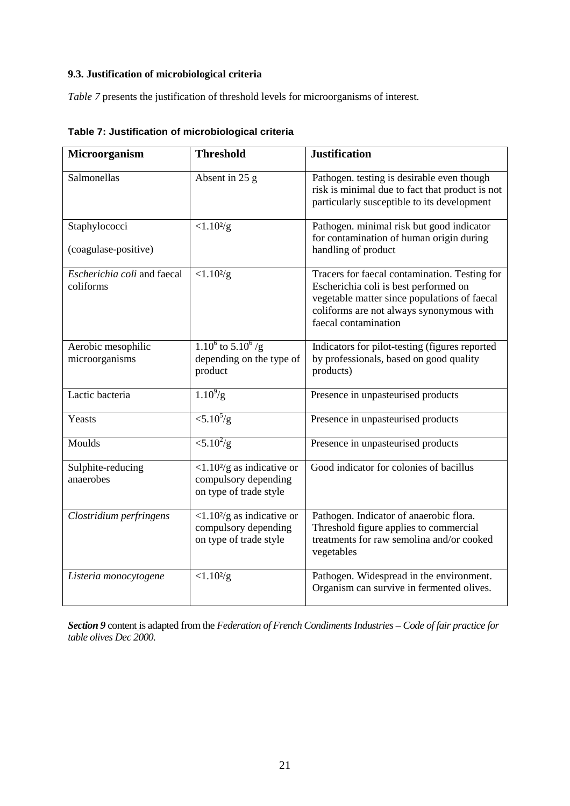#### **9.3. Justification of microbiological criteria**

*Table 7* presents the justification of threshold levels for microorganisms of interest.

| Microorganism                            | <b>Threshold</b>                                                                              | <b>Justification</b>                                                                                                                                                                                       |
|------------------------------------------|-----------------------------------------------------------------------------------------------|------------------------------------------------------------------------------------------------------------------------------------------------------------------------------------------------------------|
| Salmonellas                              | Absent in 25 g                                                                                | Pathogen. testing is desirable even though<br>risk is minimal due to fact that product is not<br>particularly susceptible to its development                                                               |
| Staphylococci<br>(coagulase-positive)    | $< 1.10^{2/g}$                                                                                | Pathogen. minimal risk but good indicator<br>for contamination of human origin during<br>handling of product                                                                                               |
| Escherichia coli and faecal<br>coliforms | $< 1.10^{2/g}$                                                                                | Tracers for faecal contamination. Testing for<br>Escherichia coli is best performed on<br>vegetable matter since populations of faecal<br>coliforms are not always synonymous with<br>faecal contamination |
| Aerobic mesophilic<br>microorganisms     | $1.10^6$ to $5.10^6$ /g<br>depending on the type of<br>product                                | Indicators for pilot-testing (figures reported<br>by professionals, based on good quality<br>products)                                                                                                     |
| Lactic bacteria                          | $1.10^{9}/g$                                                                                  | Presence in unpasteurised products                                                                                                                                                                         |
| Yeasts                                   | $\langle 5.10^{5}/g$                                                                          | Presence in unpasteurised products                                                                                                                                                                         |
| Moulds                                   | $\langle 5.10^2/g$                                                                            | Presence in unpasteurised products                                                                                                                                                                         |
| Sulphite-reducing<br>anaerobes           | $<$ 1.10 <sup>2</sup> /g as indicative or<br>compulsory depending<br>on type of trade style   | Good indicator for colonies of bacillus                                                                                                                                                                    |
| Clostridium perfringens                  | $\langle 1.10^2/g \rangle$ as indicative or<br>compulsory depending<br>on type of trade style | Pathogen. Indicator of anaerobic flora.<br>Threshold figure applies to commercial<br>treatments for raw semolina and/or cooked<br>vegetables                                                               |
| Listeria monocytogene                    | $< 1.10^{2/g}$                                                                                | Pathogen. Widespread in the environment.<br>Organism can survive in fermented olives.                                                                                                                      |

<span id="page-30-0"></span>**Table 7: Justification of microbiological criteria**

*Section 9* content is adapted from the *Federation of French Condiments Industries – Code of fair practice for table olives Dec 2000.*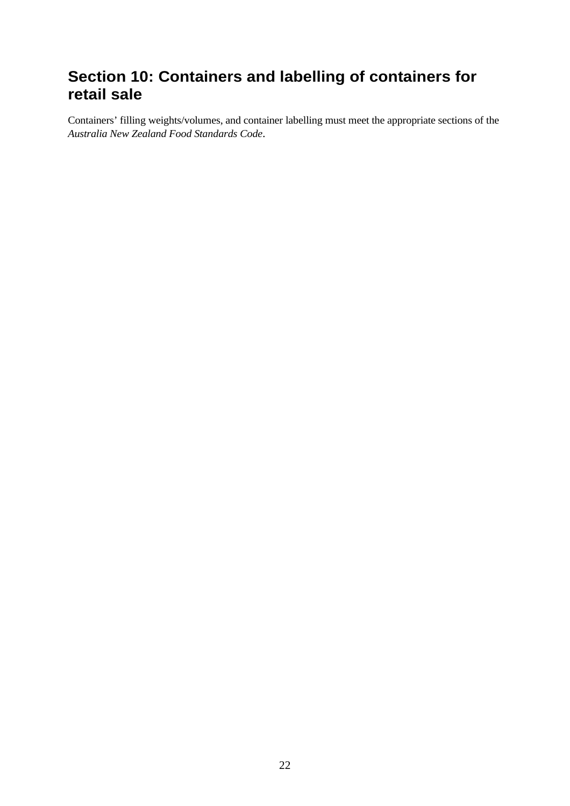### <span id="page-31-0"></span>**Section 10: Containers and labelling of containers for retail sale**

Containers' filling weights/volumes, and container labelling must meet the appropriate sections of the *Australia New Zealand Food Standards Code*.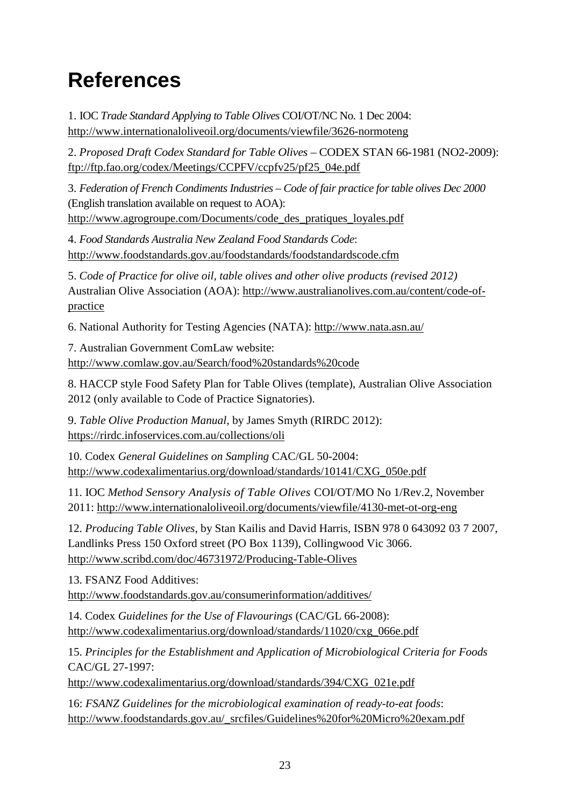## <span id="page-32-0"></span>**References**

1. IOC *Trade Standard Applying to Table Olives* COI/OT/NC No. 1 Dec 2004: <http://www.internationaloliveoil.org/documents/viewfile/3626-normoteng>

2. *Proposed Draft Codex Standard for Table Olives* – CODEX STAN 66-1981 (NO2-2009): [ftp://ftp.fao.org/codex/Meetings/CCPFV/ccpfv25/pf25\\_04e.pdf](ftp://ftp.fao.org/codex/Meetings/CCPFV/ccpfv25/pf25_04e.pdf) 

3. *Federation of French Condiments Industries – Code of fair practice for table olives Dec 2000* (English translation available on request to AOA): [http://www.agrogroupe.com/Documents/code\\_des\\_pratiques\\_loyales.pdf](http://www.agrogroupe.com/Documents/code_des_pratiques_loyales.pdf)

4. *Food Standards Australia New Zealand Food Standards Code*: <http://www.foodstandards.gov.au/foodstandards/foodstandardscode.cfm>

5. *Code of Practice for olive oil, table olives and other olive products (revised 2012)* Australian Olive Association (AOA): [http://www.australianolives.com.au/content/code-of](http://www.australianolives.com.au/content/code-of-practice)[practice](http://www.australianolives.com.au/content/code-of-practice)

6. National Authority for Testing Agencies (NATA):<http://www.nata.asn.au/>

7. Australian Government ComLaw website: <http://www.comlaw.gov.au/Search/food%20standards%20code>

8. HACCP style Food Safety Plan for Table Olives (template), Australian Olive Association 2012 (only available to Code of Practice Signatories).

9. *Table Olive Production Manual*, by James Smyth (RIRDC 2012): <https://rirdc.infoservices.com.au/collections/oli>

10. Codex *General Guidelines on Sampling* CAC/GL 50-2004: [http://www.codexalimentarius.org/download/standards/10141/CXG\\_050e.pdf](http://www.codexalimentarius.org/download/standards/10141/CXG_050e.pdf) 

11. IOC *Method Sensory Analysis of Table Olives* COI/OT/MO No 1/Rev.2, November 2011:<http://www.internationaloliveoil.org/documents/viewfile/4130-met-ot-org-eng>

12. *Producing Table Olives*, by Stan Kailis and David Harris, ISBN 978 0 643092 03 7 2007, Landlinks Press 150 Oxford street (PO Box 1139), Collingwood Vic 3066. <http://www.scribd.com/doc/46731972/Producing-Table-Olives>

13. FSANZ Food Additives:

<http://www.foodstandards.gov.au/consumerinformation/additives/>

14. Codex *Guidelines for the Use of Flavourings* (CAC/GL 66-2008): [http://www.codexalimentarius.org/download/standards/11020/cxg\\_066e.pdf](http://www.codexalimentarius.org/download/standards/11020/cxg_066e.pdf) 

15. *Principles for the Establishment and Application of Microbiological Criteria for Foods* CAC/GL 27-1997:

[http://www.codexalimentarius.org/download/standards/394/CXG\\_021e.pdf](http://www.codexalimentarius.org/download/standards/394/CXG_021e.pdf) 

16: *FSANZ Guidelines for the microbiological examination of ready-to-eat foods*: [http://www.foodstandards.gov.au/\\_srcfiles/Guidelines%20for%20Micro%20exam.pdf](http://www.foodstandards.gov.au/_srcfiles/Guidelines%20for%20Micro%20exam.pdf)